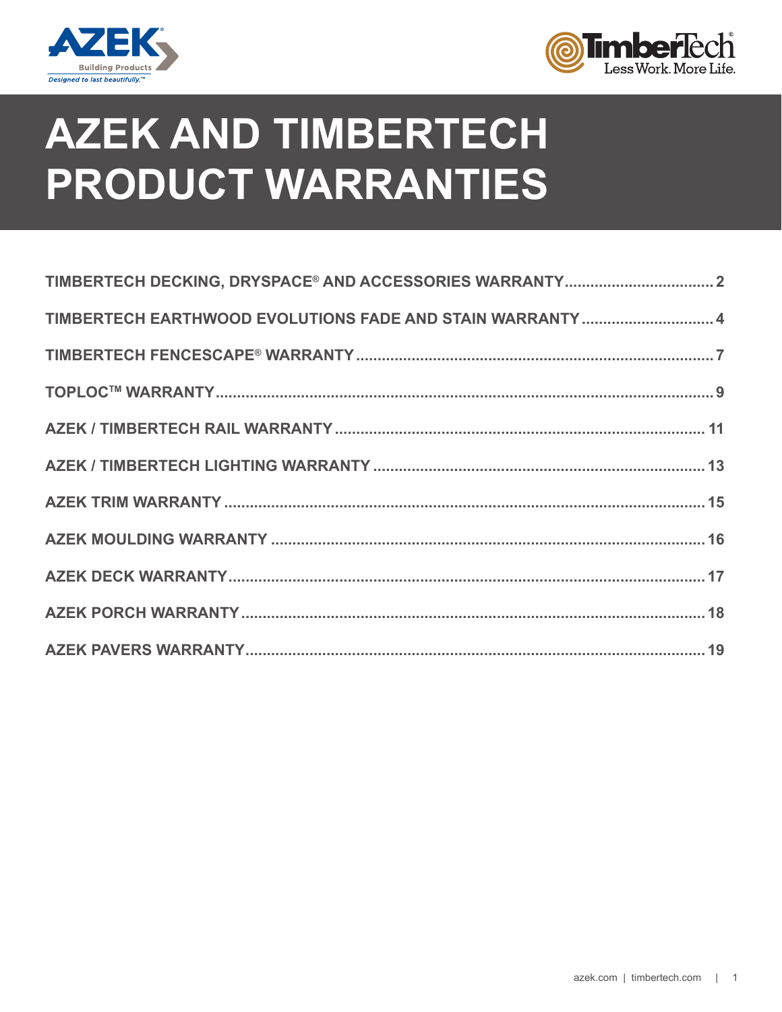



# **AZEK AND TIMBERTECH PRODUCT WARRANTIES**

| TIMBERTECH EARTHWOOD EVOLUTIONS FADE AND STAIN WARRANTY  4 |
|------------------------------------------------------------|
|                                                            |
|                                                            |
|                                                            |
|                                                            |
|                                                            |
|                                                            |
|                                                            |
|                                                            |
|                                                            |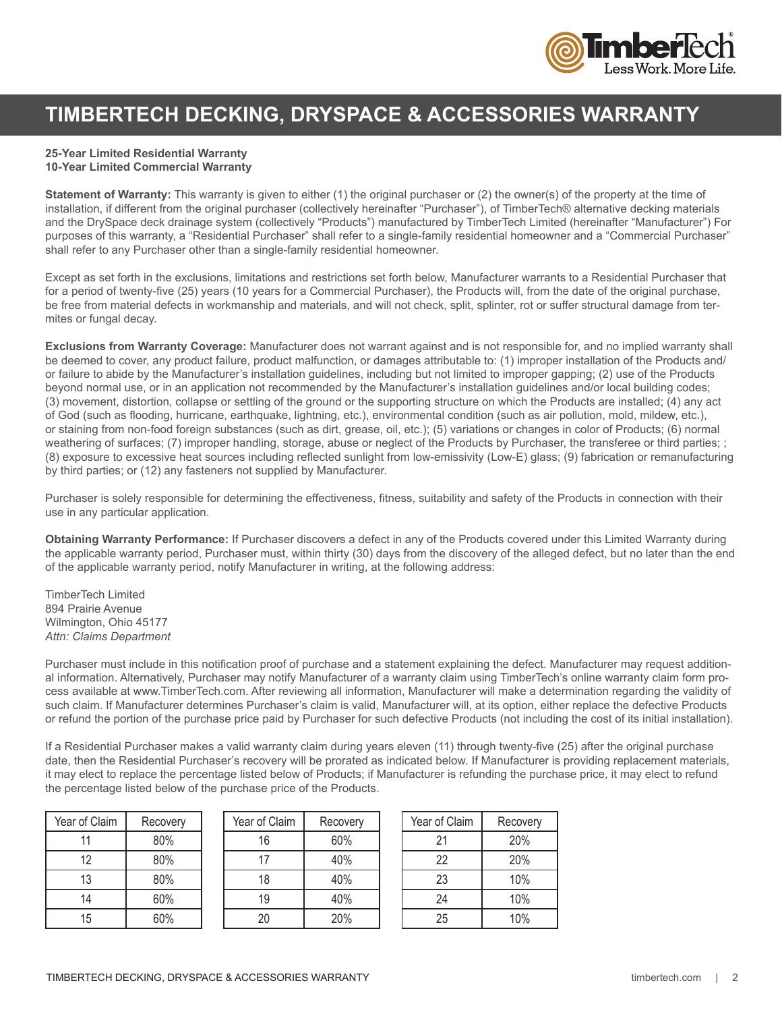

### **TIMBERTECH DECKING, DRYSPACE & ACCESSORIES WARRANTY**

### **25-Year Limited Residential Warranty**

#### **10-Year Limited Commercial Warranty**

**Statement of Warranty:** This warranty is given to either (1) the original purchaser or (2) the owner(s) of the property at the time of installation, if different from the original purchaser (collectively hereinafter "Purchaser"), of TimberTech® alternative decking materials and the DrySpace deck drainage system (collectively "Products") manufactured by TimberTech Limited (hereinafter "Manufacturer") For purposes of this warranty, a "Residential Purchaser" shall refer to a single-family residential homeowner and a "Commercial Purchaser" shall refer to any Purchaser other than a single-family residential homeowner.

Except as set forth in the exclusions, limitations and restrictions set forth below, Manufacturer warrants to a Residential Purchaser that for a period of twenty-five (25) years (10 years for a Commercial Purchaser), the Products will, from the date of the original purchase, be free from material defects in workmanship and materials, and will not check, split, splinter, rot or suffer structural damage from termites or fungal decay.

**Exclusions from Warranty Coverage:** Manufacturer does not warrant against and is not responsible for, and no implied warranty shall be deemed to cover, any product failure, product malfunction, or damages attributable to: (1) improper installation of the Products and/ or failure to abide by the Manufacturer's installation guidelines, including but not limited to improper gapping; (2) use of the Products beyond normal use, or in an application not recommended by the Manufacturer's installation guidelines and/or local building codes; (3) movement, distortion, collapse or settling of the ground or the supporting structure on which the Products are installed; (4) any act of God (such as flooding, hurricane, earthquake, lightning, etc.), environmental condition (such as air pollution, mold, mildew, etc.), or staining from non-food foreign substances (such as dirt, grease, oil, etc.); (5) variations or changes in color of Products; (6) normal weathering of surfaces; (7) improper handling, storage, abuse or neglect of the Products by Purchaser, the transferee or third parties; ; (8) exposure to excessive heat sources including reflected sunlight from low-emissivity (Low-E) glass; (9) fabrication or remanufacturing by third parties; or (12) any fasteners not supplied by Manufacturer.

Purchaser is solely responsible for determining the effectiveness, fitness, suitability and safety of the Products in connection with their use in any particular application.

**Obtaining Warranty Performance:** If Purchaser discovers a defect in any of the Products covered under this Limited Warranty during the applicable warranty period, Purchaser must, within thirty (30) days from the discovery of the alleged defect, but no later than the end of the applicable warranty period, notify Manufacturer in writing, at the following address:

TimberTech Limited 894 Prairie Avenue Wilmington, Ohio 45177 *Attn: Claims Department*

Purchaser must include in this notification proof of purchase and a statement explaining the defect. Manufacturer may request additional information. Alternatively, Purchaser may notify Manufacturer of a warranty claim using TimberTech's online warranty claim form process available at www.TimberTech.com. After reviewing all information, Manufacturer will make a determination regarding the validity of such claim. If Manufacturer determines Purchaser's claim is valid, Manufacturer will, at its option, either replace the defective Products or refund the portion of the purchase price paid by Purchaser for such defective Products (not including the cost of its initial installation).

If a Residential Purchaser makes a valid warranty claim during years eleven (11) through twenty-five (25) after the original purchase date, then the Residential Purchaser's recovery will be prorated as indicated below. If Manufacturer is providing replacement materials, it may elect to replace the percentage listed below of Products; if Manufacturer is refunding the purchase price, it may elect to refund the percentage listed below of the purchase price of the Products.

| Year of Claim | Recovery | Year of C |
|---------------|----------|-----------|
| 11            | 80%      | 16        |
| 12            | 80%      |           |
| 13            | 80%      | 18        |
| 14            | 60%      | 19        |
| 15            | 60%      | 20        |

| Year of Claim | Recovery |
|---------------|----------|
| 16            | 60%      |
| 17            | 40%      |
| 18            | 40%      |
| 19            | 40%      |
| 20            | 20%      |
|               |          |

| Year of Claim | Recovery |
|---------------|----------|
| 21            | 20%      |
| 22            | 20%      |
| 23            | 10%      |
| 24            | 10%      |
| 25            | 10%      |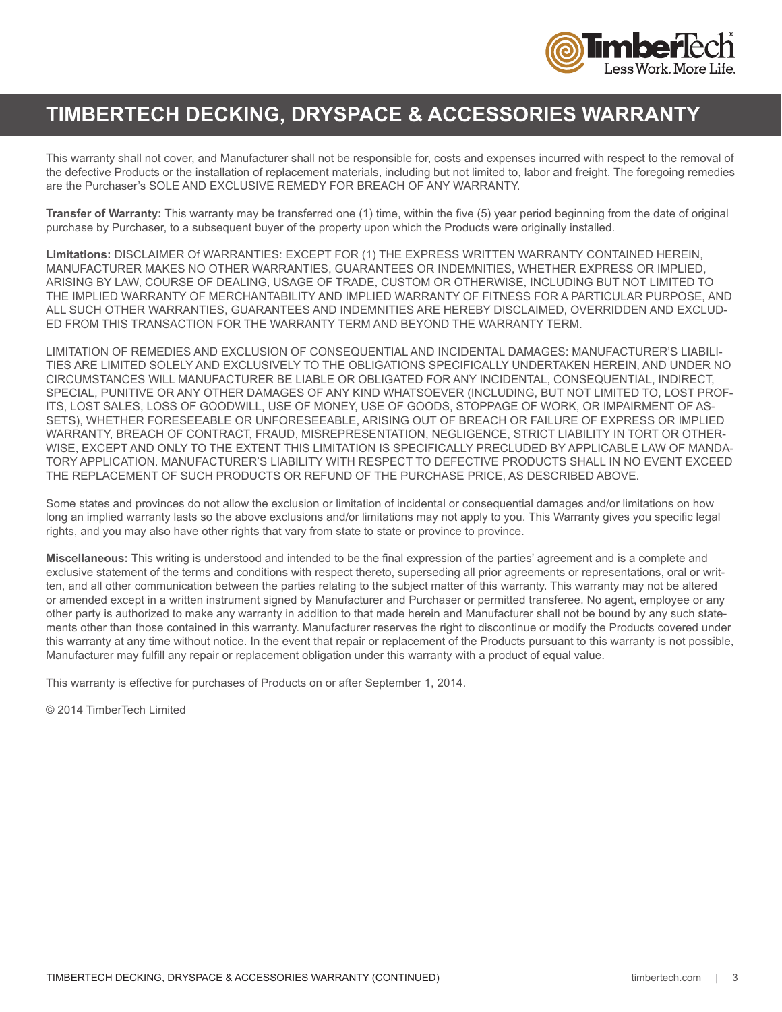

### **TIMBERTECH DECKING, DRYSPACE & ACCESSORIES WARRANTY**

This warranty shall not cover, and Manufacturer shall not be responsible for, costs and expenses incurred with respect to the removal of the defective Products or the installation of replacement materials, including but not limited to, labor and freight. The foregoing remedies are the Purchaser's SOLE AND EXCLUSIVE REMEDY FOR BREACH OF ANY WARRANTY.

**Transfer of Warranty:** This warranty may be transferred one (1) time, within the five (5) year period beginning from the date of original purchase by Purchaser, to a subsequent buyer of the property upon which the Products were originally installed.

**Limitations:** DISCLAIMER Of WARRANTIES: EXCEPT FOR (1) THE EXPRESS WRITTEN WARRANTY CONTAINED HEREIN, MANUFACTURER MAKES NO OTHER WARRANTIES, GUARANTEES OR INDEMNITIES, WHETHER EXPRESS OR IMPLIED, ARISING BY LAW, COURSE OF DEALING, USAGE OF TRADE, CUSTOM OR OTHERWISE, INCLUDING BUT NOT LIMITED TO THE IMPLIED WARRANTY OF MERCHANTABILITY AND IMPLIED WARRANTY OF FITNESS FOR A PARTICULAR PURPOSE, AND ALL SUCH OTHER WARRANTIES, GUARANTEES AND INDEMNITIES ARE HEREBY DISCLAIMED, OVERRIDDEN AND EXCLUD-ED FROM THIS TRANSACTION FOR THE WARRANTY TERM AND BEYOND THE WARRANTY TERM.

LIMITATION OF REMEDIES AND EXCLUSION OF CONSEQUENTIAL AND INCIDENTAL DAMAGES: MANUFACTURER'S LIABILI-TIES ARE LIMITED SOLELY AND EXCLUSIVELY TO THE OBLIGATIONS SPECIFICALLY UNDERTAKEN HEREIN, AND UNDER NO CIRCUMSTANCES WILL MANUFACTURER BE LIABLE OR OBLIGATED FOR ANY INCIDENTAL, CONSEQUENTIAL, INDIRECT, SPECIAL, PUNITIVE OR ANY OTHER DAMAGES OF ANY KIND WHATSOEVER (INCLUDING, BUT NOT LIMITED TO, LOST PROF-ITS, LOST SALES, LOSS OF GOODWILL, USE OF MONEY, USE OF GOODS, STOPPAGE OF WORK, OR IMPAIRMENT OF AS-SETS), WHETHER FORESEEABLE OR UNFORESEEABLE, ARISING OUT OF BREACH OR FAILURE OF EXPRESS OR IMPLIED WARRANTY, BREACH OF CONTRACT, FRAUD, MISREPRESENTATION, NEGLIGENCE, STRICT LIABILITY IN TORT OR OTHER-WISE, EXCEPT AND ONLY TO THE EXTENT THIS LIMITATION IS SPECIFICALLY PRECLUDED BY APPLICABLE LAW OF MANDA-TORY APPLICATION. MANUFACTURER'S LIABILITY WITH RESPECT TO DEFECTIVE PRODUCTS SHALL IN NO EVENT EXCEED THE REPLACEMENT OF SUCH PRODUCTS OR REFUND OF THE PURCHASE PRICE, AS DESCRIBED ABOVE.

Some states and provinces do not allow the exclusion or limitation of incidental or consequential damages and/or limitations on how long an implied warranty lasts so the above exclusions and/or limitations may not apply to you. This Warranty gives you specific legal rights, and you may also have other rights that vary from state to state or province to province.

**Miscellaneous:** This writing is understood and intended to be the final expression of the parties' agreement and is a complete and exclusive statement of the terms and conditions with respect thereto, superseding all prior agreements or representations, oral or written, and all other communication between the parties relating to the subject matter of this warranty. This warranty may not be altered or amended except in a written instrument signed by Manufacturer and Purchaser or permitted transferee. No agent, employee or any other party is authorized to make any warranty in addition to that made herein and Manufacturer shall not be bound by any such statements other than those contained in this warranty. Manufacturer reserves the right to discontinue or modify the Products covered under this warranty at any time without notice. In the event that repair or replacement of the Products pursuant to this warranty is not possible, Manufacturer may fulfill any repair or replacement obligation under this warranty with a product of equal value.

This warranty is effective for purchases of Products on or after September 1, 2014.

© 2014 TimberTech Limited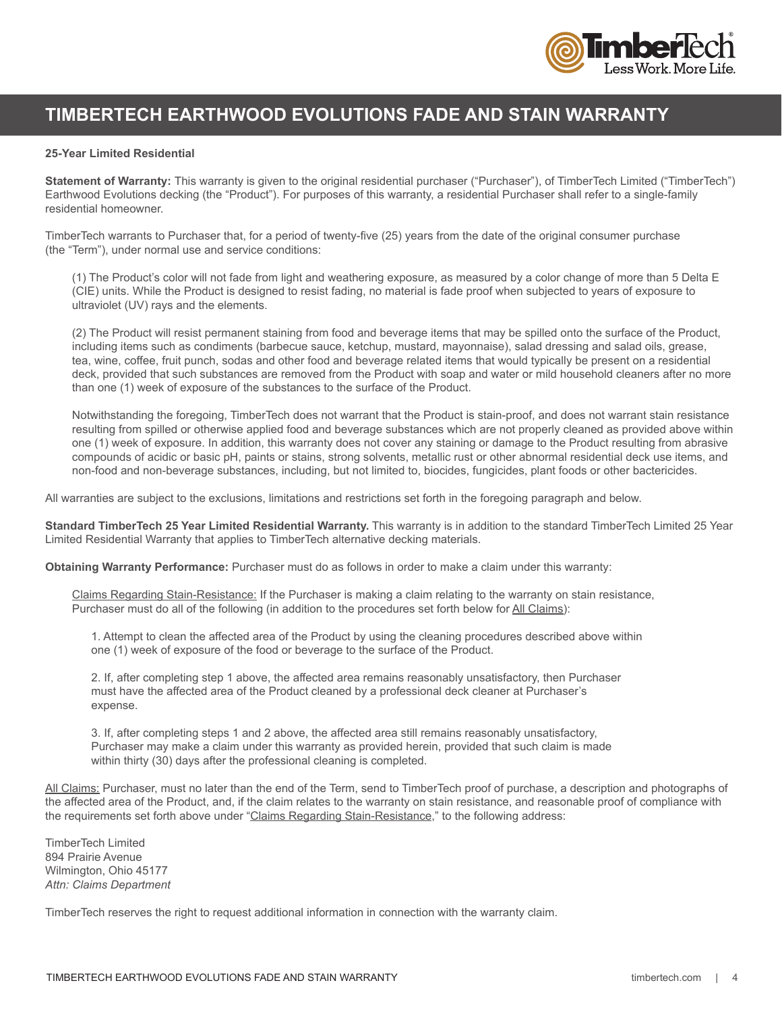

### **TIMBERTECH EARTHWOOD EVOLUTIONS FADE AND STAIN WARRANTY**

#### **25-Year Limited Residential**

**Statement of Warranty:** This warranty is given to the original residential purchaser ("Purchaser"), of TimberTech Limited ("TimberTech") Earthwood Evolutions decking (the "Product"). For purposes of this warranty, a residential Purchaser shall refer to a single-family residential homeowner.

TimberTech warrants to Purchaser that, for a period of twenty-five (25) years from the date of the original consumer purchase (the "Term"), under normal use and service conditions:

(1) The Product's color will not fade from light and weathering exposure, as measured by a color change of more than 5 Delta E (CIE) units. While the Product is designed to resist fading, no material is fade proof when subjected to years of exposure to ultraviolet (UV) rays and the elements.

(2) The Product will resist permanent staining from food and beverage items that may be spilled onto the surface of the Product, including items such as condiments (barbecue sauce, ketchup, mustard, mayonnaise), salad dressing and salad oils, grease, tea, wine, coffee, fruit punch, sodas and other food and beverage related items that would typically be present on a residential deck, provided that such substances are removed from the Product with soap and water or mild household cleaners after no more than one (1) week of exposure of the substances to the surface of the Product.

Notwithstanding the foregoing, TimberTech does not warrant that the Product is stain-proof, and does not warrant stain resistance resulting from spilled or otherwise applied food and beverage substances which are not properly cleaned as provided above within one (1) week of exposure. In addition, this warranty does not cover any staining or damage to the Product resulting from abrasive compounds of acidic or basic pH, paints or stains, strong solvents, metallic rust or other abnormal residential deck use items, and non-food and non-beverage substances, including, but not limited to, biocides, fungicides, plant foods or other bactericides.

All warranties are subject to the exclusions, limitations and restrictions set forth in the foregoing paragraph and below.

**Standard TimberTech 25 Year Limited Residential Warranty.** This warranty is in addition to the standard TimberTech Limited 25 Year Limited Residential Warranty that applies to TimberTech alternative decking materials.

**Obtaining Warranty Performance:** Purchaser must do as follows in order to make a claim under this warranty:

Claims Regarding Stain-Resistance: If the Purchaser is making a claim relating to the warranty on stain resistance, Purchaser must do all of the following (in addition to the procedures set forth below for All Claims):

 1. Attempt to clean the affected area of the Product by using the cleaning procedures described above within one (1) week of exposure of the food or beverage to the surface of the Product.

 2. If, after completing step 1 above, the affected area remains reasonably unsatisfactory, then Purchaser must have the affected area of the Product cleaned by a professional deck cleaner at Purchaser's expense.

 3. If, after completing steps 1 and 2 above, the affected area still remains reasonably unsatisfactory, Purchaser may make a claim under this warranty as provided herein, provided that such claim is made within thirty (30) days after the professional cleaning is completed.

All Claims: Purchaser, must no later than the end of the Term, send to TimberTech proof of purchase, a description and photographs of the affected area of the Product, and, if the claim relates to the warranty on stain resistance, and reasonable proof of compliance with the requirements set forth above under "Claims Regarding Stain-Resistance," to the following address:

TimberTech Limited 894 Prairie Avenue Wilmington, Ohio 45177 *Attn: Claims Department*

TimberTech reserves the right to request additional information in connection with the warranty claim.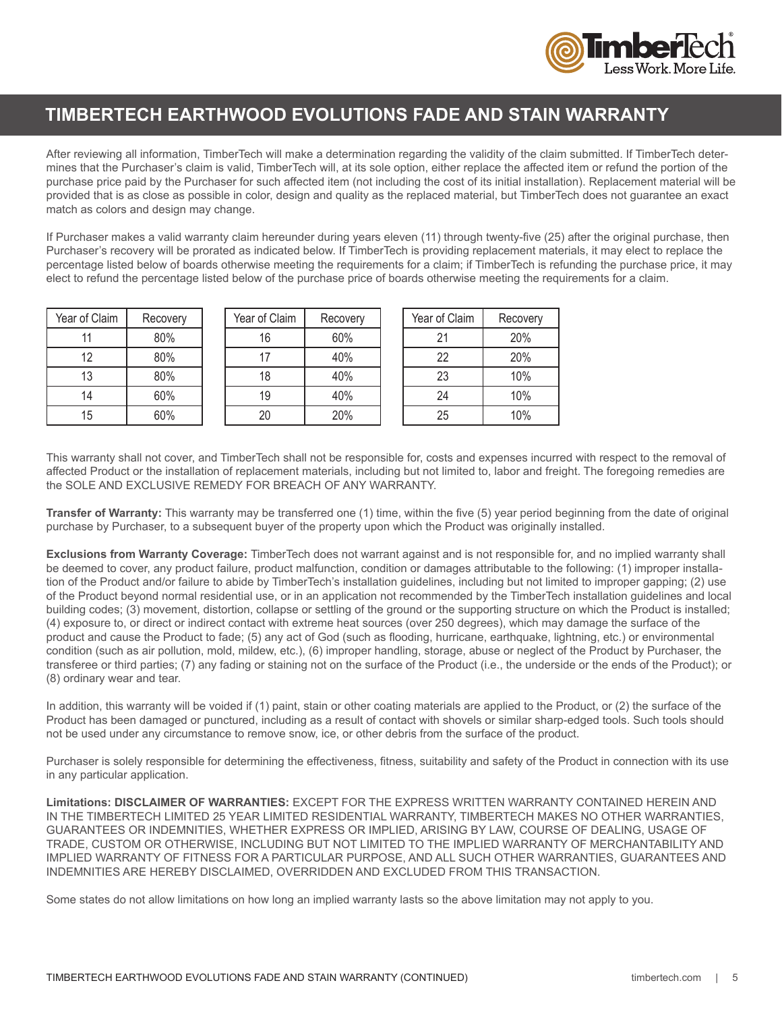

### **TIMBERTECH EARTHWOOD EVOLUTIONS FADE AND STAIN WARRANTY**

After reviewing all information, TimberTech will make a determination regarding the validity of the claim submitted. If TimberTech determines that the Purchaser's claim is valid, TimberTech will, at its sole option, either replace the affected item or refund the portion of the purchase price paid by the Purchaser for such affected item (not including the cost of its initial installation). Replacement material will be provided that is as close as possible in color, design and quality as the replaced material, but TimberTech does not guarantee an exact match as colors and design may change.

If Purchaser makes a valid warranty claim hereunder during years eleven (11) through twenty-five (25) after the original purchase, then Purchaser's recovery will be prorated as indicated below. If TimberTech is providing replacement materials, it may elect to replace the percentage listed below of boards otherwise meeting the requirements for a claim; if TimberTech is refunding the purchase price, it may elect to refund the percentage listed below of the purchase price of boards otherwise meeting the requirements for a claim.

| Year of Claim | Recovery |
|---------------|----------|
| 11            | 80%      |
| 12            | 80%      |
| 13            | 80%      |
| 14            | 60%      |
| 15            | 60%      |

| Year of Claim | Recovery |
|---------------|----------|
| 16            | 60%      |
| 17            | 40%      |
| 18            | 40%      |
| 19            | 40%      |
| 20            | 20%      |

| Year of Claim | Recovery |
|---------------|----------|
| 21            | 20%      |
| 22            | 20%      |
| 23            | 10%      |
| 24            | 10%      |
| 25            | 10%      |

This warranty shall not cover, and TimberTech shall not be responsible for, costs and expenses incurred with respect to the removal of affected Product or the installation of replacement materials, including but not limited to, labor and freight. The foregoing remedies are the SOLE AND EXCLUSIVE REMEDY FOR BREACH OF ANY WARRANTY.

**Transfer of Warranty:** This warranty may be transferred one (1) time, within the five (5) year period beginning from the date of original purchase by Purchaser, to a subsequent buyer of the property upon which the Product was originally installed.

**Exclusions from Warranty Coverage:** TimberTech does not warrant against and is not responsible for, and no implied warranty shall be deemed to cover, any product failure, product malfunction, condition or damages attributable to the following: (1) improper installation of the Product and/or failure to abide by TimberTech's installation guidelines, including but not limited to improper gapping; (2) use of the Product beyond normal residential use, or in an application not recommended by the TimberTech installation guidelines and local building codes; (3) movement, distortion, collapse or settling of the ground or the supporting structure on which the Product is installed; (4) exposure to, or direct or indirect contact with extreme heat sources (over 250 degrees), which may damage the surface of the product and cause the Product to fade; (5) any act of God (such as flooding, hurricane, earthquake, lightning, etc.) or environmental condition (such as air pollution, mold, mildew, etc.), (6) improper handling, storage, abuse or neglect of the Product by Purchaser, the transferee or third parties; (7) any fading or staining not on the surface of the Product (i.e., the underside or the ends of the Product); or (8) ordinary wear and tear.

In addition, this warranty will be voided if (1) paint, stain or other coating materials are applied to the Product, or (2) the surface of the Product has been damaged or punctured, including as a result of contact with shovels or similar sharp-edged tools. Such tools should not be used under any circumstance to remove snow, ice, or other debris from the surface of the product.

Purchaser is solely responsible for determining the effectiveness, fitness, suitability and safety of the Product in connection with its use in any particular application.

**Limitations: DISCLAIMER OF WARRANTIES:** EXCEPT FOR THE EXPRESS WRITTEN WARRANTY CONTAINED HEREIN AND IN THE TIMBERTECH LIMITED 25 YEAR LIMITED RESIDENTIAL WARRANTY, TIMBERTECH MAKES NO OTHER WARRANTIES, GUARANTEES OR INDEMNITIES, WHETHER EXPRESS OR IMPLIED, ARISING BY LAW, COURSE OF DEALING, USAGE OF TRADE, CUSTOM OR OTHERWISE, INCLUDING BUT NOT LIMITED TO THE IMPLIED WARRANTY OF MERCHANTABILITY AND IMPLIED WARRANTY OF FITNESS FOR A PARTICULAR PURPOSE, AND ALL SUCH OTHER WARRANTIES, GUARANTEES AND INDEMNITIES ARE HEREBY DISCLAIMED, OVERRIDDEN AND EXCLUDED FROM THIS TRANSACTION.

Some states do not allow limitations on how long an implied warranty lasts so the above limitation may not apply to you.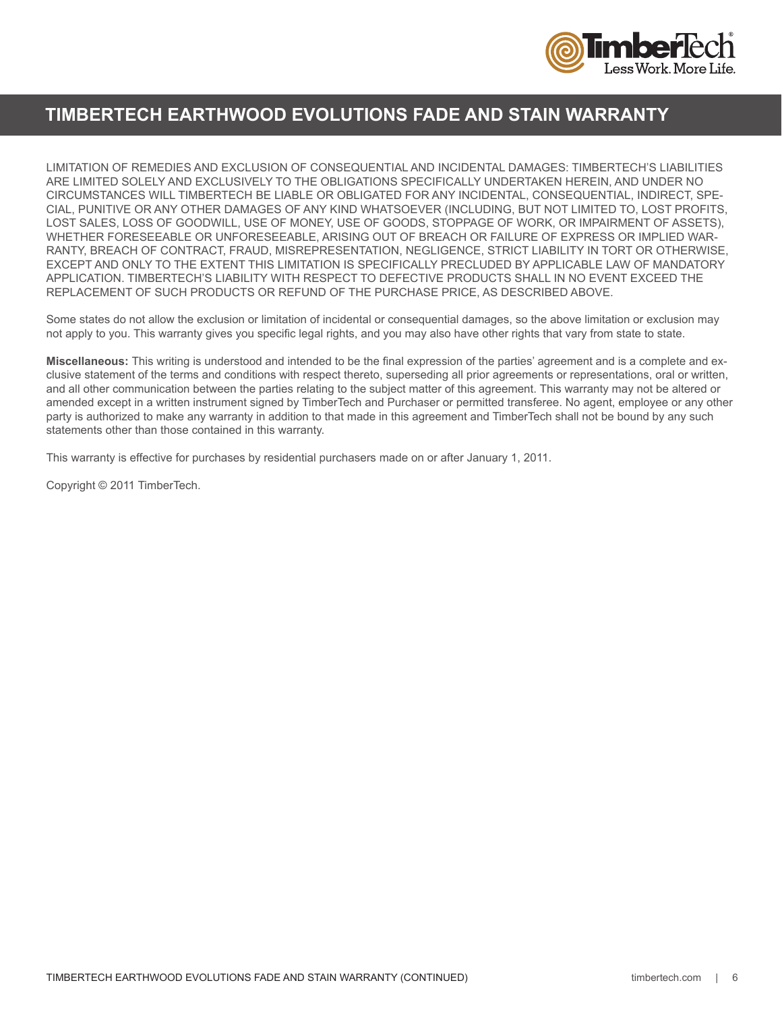

### **TIMBERTECH EARTHWOOD EVOLUTIONS FADE AND STAIN WARRANTY**

LIMITATION OF REMEDIES AND EXCLUSION OF CONSEQUENTIAL AND INCIDENTAL DAMAGES: TIMBERTECH'S LIABILITIES ARE LIMITED SOLELY AND EXCLUSIVELY TO THE OBLIGATIONS SPECIFICALLY UNDERTAKEN HEREIN, AND UNDER NO CIRCUMSTANCES WILL TIMBERTECH BE LIABLE OR OBLIGATED FOR ANY INCIDENTAL, CONSEQUENTIAL, INDIRECT, SPE-CIAL, PUNITIVE OR ANY OTHER DAMAGES OF ANY KIND WHATSOEVER (INCLUDING, BUT NOT LIMITED TO, LOST PROFITS, LOST SALES, LOSS OF GOODWILL, USE OF MONEY, USE OF GOODS, STOPPAGE OF WORK, OR IMPAIRMENT OF ASSETS), WHETHER FORESEEABLE OR UNFORESEEABLE, ARISING OUT OF BREACH OR FAILURE OF EXPRESS OR IMPLIED WAR-RANTY, BREACH OF CONTRACT, FRAUD, MISREPRESENTATION, NEGLIGENCE, STRICT LIABILITY IN TORT OR OTHERWISE, EXCEPT AND ONLY TO THE EXTENT THIS LIMITATION IS SPECIFICALLY PRECLUDED BY APPLICABLE LAW OF MANDATORY APPLICATION. TIMBERTECH'S LIABILITY WITH RESPECT TO DEFECTIVE PRODUCTS SHALL IN NO EVENT EXCEED THE REPLACEMENT OF SUCH PRODUCTS OR REFUND OF THE PURCHASE PRICE, AS DESCRIBED ABOVE.

Some states do not allow the exclusion or limitation of incidental or consequential damages, so the above limitation or exclusion may not apply to you. This warranty gives you specific legal rights, and you may also have other rights that vary from state to state.

**Miscellaneous:** This writing is understood and intended to be the final expression of the parties' agreement and is a complete and exclusive statement of the terms and conditions with respect thereto, superseding all prior agreements or representations, oral or written, and all other communication between the parties relating to the subject matter of this agreement. This warranty may not be altered or amended except in a written instrument signed by TimberTech and Purchaser or permitted transferee. No agent, employee or any other party is authorized to make any warranty in addition to that made in this agreement and TimberTech shall not be bound by any such statements other than those contained in this warranty.

This warranty is effective for purchases by residential purchasers made on or after January 1, 2011.

Copyright © 2011 TimberTech.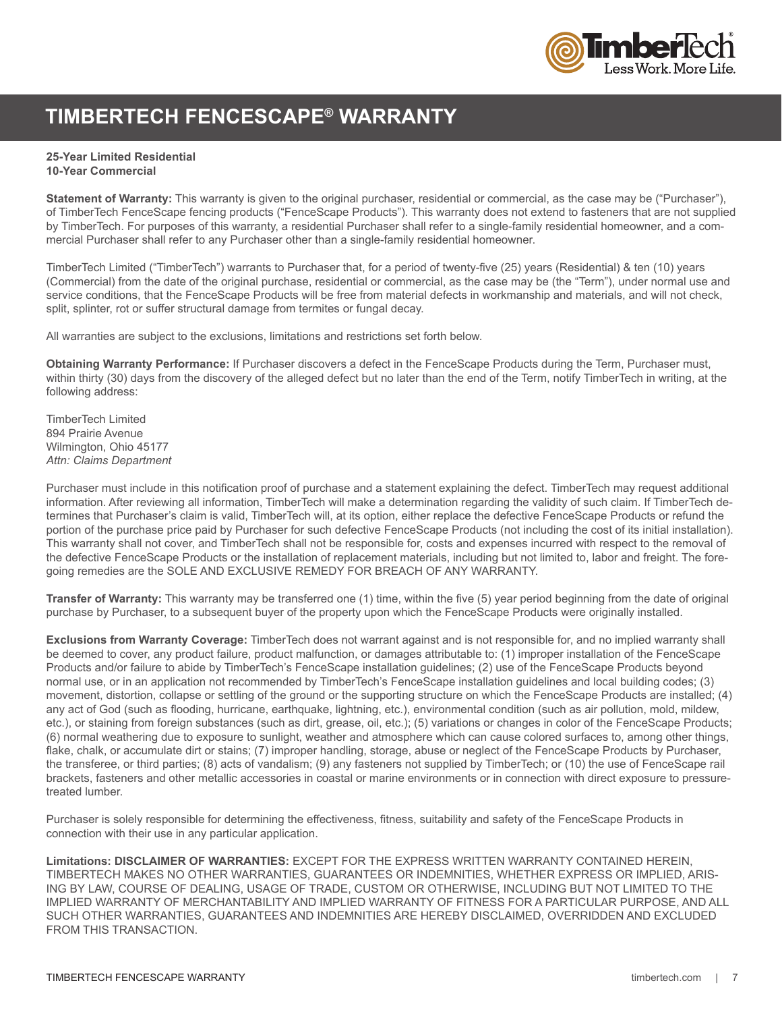

### **TIMBERTECH FENCESCAPE® WARRANTY**

### **25-Year Limited Residential**

**10-Year Commercial**

**Statement of Warranty:** This warranty is given to the original purchaser, residential or commercial, as the case may be ("Purchaser"), of TimberTech FenceScape fencing products ("FenceScape Products"). This warranty does not extend to fasteners that are not supplied by TimberTech. For purposes of this warranty, a residential Purchaser shall refer to a single-family residential homeowner, and a commercial Purchaser shall refer to any Purchaser other than a single-family residential homeowner.

TimberTech Limited ("TimberTech") warrants to Purchaser that, for a period of twenty-five (25) years (Residential) & ten (10) years (Commercial) from the date of the original purchase, residential or commercial, as the case may be (the "Term"), under normal use and service conditions, that the FenceScape Products will be free from material defects in workmanship and materials, and will not check, split, splinter, rot or suffer structural damage from termites or fungal decay.

All warranties are subject to the exclusions, limitations and restrictions set forth below.

**Obtaining Warranty Performance:** If Purchaser discovers a defect in the FenceScape Products during the Term, Purchaser must, within thirty (30) days from the discovery of the alleged defect but no later than the end of the Term, notify TimberTech in writing, at the following address:

TimberTech Limited 894 Prairie Avenue Wilmington, Ohio 45177 *Attn: Claims Department*

Purchaser must include in this notification proof of purchase and a statement explaining the defect. TimberTech may request additional information. After reviewing all information, TimberTech will make a determination regarding the validity of such claim. If TimberTech determines that Purchaser's claim is valid, TimberTech will, at its option, either replace the defective FenceScape Products or refund the portion of the purchase price paid by Purchaser for such defective FenceScape Products (not including the cost of its initial installation). This warranty shall not cover, and TimberTech shall not be responsible for, costs and expenses incurred with respect to the removal of the defective FenceScape Products or the installation of replacement materials, including but not limited to, labor and freight. The foregoing remedies are the SOLE AND EXCLUSIVE REMEDY FOR BREACH OF ANY WARRANTY.

**Transfer of Warranty:** This warranty may be transferred one (1) time, within the five (5) year period beginning from the date of original purchase by Purchaser, to a subsequent buyer of the property upon which the FenceScape Products were originally installed.

**Exclusions from Warranty Coverage:** TimberTech does not warrant against and is not responsible for, and no implied warranty shall be deemed to cover, any product failure, product malfunction, or damages attributable to: (1) improper installation of the FenceScape Products and/or failure to abide by TimberTech's FenceScape installation guidelines; (2) use of the FenceScape Products beyond normal use, or in an application not recommended by TimberTech's FenceScape installation guidelines and local building codes; (3) movement, distortion, collapse or settling of the ground or the supporting structure on which the FenceScape Products are installed; (4) any act of God (such as flooding, hurricane, earthquake, lightning, etc.), environmental condition (such as air pollution, mold, mildew, etc.), or staining from foreign substances (such as dirt, grease, oil, etc.); (5) variations or changes in color of the FenceScape Products; (6) normal weathering due to exposure to sunlight, weather and atmosphere which can cause colored surfaces to, among other things, flake, chalk, or accumulate dirt or stains; (7) improper handling, storage, abuse or neglect of the FenceScape Products by Purchaser, the transferee, or third parties; (8) acts of vandalism; (9) any fasteners not supplied by TimberTech; or (10) the use of FenceScape rail brackets, fasteners and other metallic accessories in coastal or marine environments or in connection with direct exposure to pressuretreated lumber.

Purchaser is solely responsible for determining the effectiveness, fitness, suitability and safety of the FenceScape Products in connection with their use in any particular application.

**Limitations: DISCLAIMER OF WARRANTIES:** EXCEPT FOR THE EXPRESS WRITTEN WARRANTY CONTAINED HEREIN, TIMBERTECH MAKES NO OTHER WARRANTIES, GUARANTEES OR INDEMNITIES, WHETHER EXPRESS OR IMPLIED, ARIS-ING BY LAW, COURSE OF DEALING, USAGE OF TRADE, CUSTOM OR OTHERWISE, INCLUDING BUT NOT LIMITED TO THE IMPLIED WARRANTY OF MERCHANTABILITY AND IMPLIED WARRANTY OF FITNESS FOR A PARTICULAR PURPOSE, AND ALL SUCH OTHER WARRANTIES, GUARANTEES AND INDEMNITIES ARE HEREBY DISCLAIMED, OVERRIDDEN AND EXCLUDED FROM THIS TRANSACTION.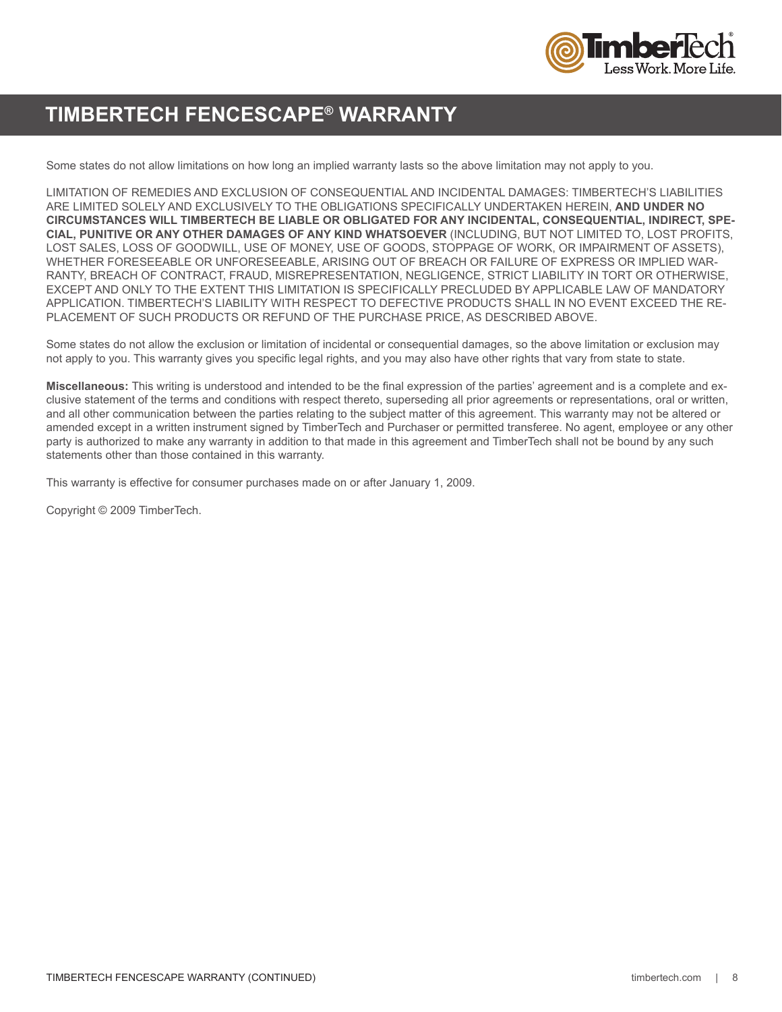

### **TIMBERTECH FENCESCAPE® WARRANTY**

Some states do not allow limitations on how long an implied warranty lasts so the above limitation may not apply to you.

LIMITATION OF REMEDIES AND EXCLUSION OF CONSEQUENTIAL AND INCIDENTAL DAMAGES: TIMBERTECH'S LIABILITIES ARE LIMITED SOLELY AND EXCLUSIVELY TO THE OBLIGATIONS SPECIFICALLY UNDERTAKEN HEREIN, **AND UNDER NO CIRCUMSTANCES WILL TIMBERTECH BE LIABLE OR OBLIGATED FOR ANY INCIDENTAL, CONSEQUENTIAL, INDIRECT, SPE-CIAL, PUNITIVE OR ANY OTHER DAMAGES OF ANY KIND WHATSOEVER** (INCLUDING, BUT NOT LIMITED TO, LOST PROFITS, LOST SALES, LOSS OF GOODWILL, USE OF MONEY, USE OF GOODS, STOPPAGE OF WORK, OR IMPAIRMENT OF ASSETS), WHETHER FORESEEABLE OR UNFORESEEABLE, ARISING OUT OF BREACH OR FAILURE OF EXPRESS OR IMPLIED WAR-RANTY, BREACH OF CONTRACT, FRAUD, MISREPRESENTATION, NEGLIGENCE, STRICT LIABILITY IN TORT OR OTHERWISE, EXCEPT AND ONLY TO THE EXTENT THIS LIMITATION IS SPECIFICALLY PRECLUDED BY APPLICABLE LAW OF MANDATORY APPLICATION. TIMBERTECH'S LIABILITY WITH RESPECT TO DEFECTIVE PRODUCTS SHALL IN NO EVENT EXCEED THE RE-PLACEMENT OF SUCH PRODUCTS OR REFUND OF THE PURCHASE PRICE, AS DESCRIBED ABOVE.

Some states do not allow the exclusion or limitation of incidental or consequential damages, so the above limitation or exclusion may not apply to you. This warranty gives you specific legal rights, and you may also have other rights that vary from state to state.

**Miscellaneous:** This writing is understood and intended to be the final expression of the parties' agreement and is a complete and exclusive statement of the terms and conditions with respect thereto, superseding all prior agreements or representations, oral or written, and all other communication between the parties relating to the subject matter of this agreement. This warranty may not be altered or amended except in a written instrument signed by TimberTech and Purchaser or permitted transferee. No agent, employee or any other party is authorized to make any warranty in addition to that made in this agreement and TimberTech shall not be bound by any such statements other than those contained in this warranty.

This warranty is effective for consumer purchases made on or after January 1, 2009.

Copyright © 2009 TimberTech.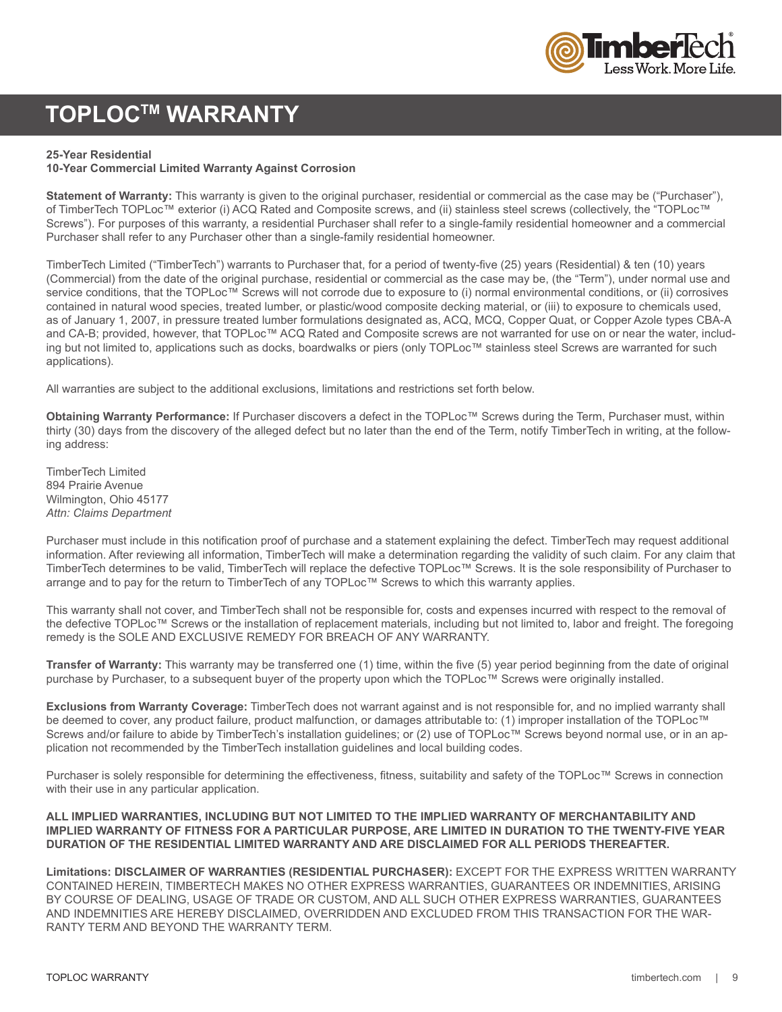

### **TOPLOCTM WARRANTY**

#### **25-Year Residential**

#### **10-Year Commercial Limited Warranty Against Corrosion**

**Statement of Warranty:** This warranty is given to the original purchaser, residential or commercial as the case may be ("Purchaser"), of TimberTech TOPLoc™ exterior (i) ACQ Rated and Composite screws, and (ii) stainless steel screws (collectively, the "TOPLoc™ Screws"). For purposes of this warranty, a residential Purchaser shall refer to a single-family residential homeowner and a commercial Purchaser shall refer to any Purchaser other than a single-family residential homeowner.

TimberTech Limited ("TimberTech") warrants to Purchaser that, for a period of twenty-five (25) years (Residential) & ten (10) years (Commercial) from the date of the original purchase, residential or commercial as the case may be, (the "Term"), under normal use and service conditions, that the TOPLoc™ Screws will not corrode due to exposure to (i) normal environmental conditions, or (ii) corrosives contained in natural wood species, treated lumber, or plastic/wood composite decking material, or (iii) to exposure to chemicals used, as of January 1, 2007, in pressure treated lumber formulations designated as, ACQ, MCQ, Copper Quat, or Copper Azole types CBA-A and CA-B; provided, however, that TOPLoc™ ACQ Rated and Composite screws are not warranted for use on or near the water, including but not limited to, applications such as docks, boardwalks or piers (only TOPLoc™ stainless steel Screws are warranted for such applications).

All warranties are subject to the additional exclusions, limitations and restrictions set forth below.

**Obtaining Warranty Performance:** If Purchaser discovers a defect in the TOPLoc™ Screws during the Term, Purchaser must, within thirty (30) days from the discovery of the alleged defect but no later than the end of the Term, notify TimberTech in writing, at the following address:

TimberTech Limited 894 Prairie Avenue Wilmington, Ohio 45177 *Attn: Claims Department*

Purchaser must include in this notification proof of purchase and a statement explaining the defect. TimberTech may request additional information. After reviewing all information, TimberTech will make a determination regarding the validity of such claim. For any claim that TimberTech determines to be valid, TimberTech will replace the defective TOPLoc™ Screws. It is the sole responsibility of Purchaser to arrange and to pay for the return to TimberTech of any TOPLoc™ Screws to which this warranty applies.

This warranty shall not cover, and TimberTech shall not be responsible for, costs and expenses incurred with respect to the removal of the defective TOPLoc™ Screws or the installation of replacement materials, including but not limited to, labor and freight. The foregoing remedy is the SOLE AND EXCLUSIVE REMEDY FOR BREACH OF ANY WARRANTY.

**Transfer of Warranty:** This warranty may be transferred one (1) time, within the five (5) year period beginning from the date of original purchase by Purchaser, to a subsequent buyer of the property upon which the TOPLoc™ Screws were originally installed.

**Exclusions from Warranty Coverage:** TimberTech does not warrant against and is not responsible for, and no implied warranty shall be deemed to cover, any product failure, product malfunction, or damages attributable to: (1) improper installation of the TOPLoc™ Screws and/or failure to abide by TimberTech's installation quidelines; or (2) use of TOPLoc™ Screws beyond normal use, or in an application not recommended by the TimberTech installation guidelines and local building codes.

Purchaser is solely responsible for determining the effectiveness, fitness, suitability and safety of the TOPLoc™ Screws in connection with their use in any particular application.

#### **ALL IMPLIED WARRANTIES, INCLUDING BUT NOT LIMITED TO THE IMPLIED WARRANTY OF MERCHANTABILITY AND IMPLIED WARRANTY OF FITNESS FOR A PARTICULAR PURPOSE, ARE LIMITED IN DURATION TO THE TWENTY-FIVE YEAR DURATION OF THE RESIDENTIAL LIMITED WARRANTY AND ARE DISCLAIMED FOR ALL PERIODS THEREAFTER.**

**Limitations: DISCLAIMER OF WARRANTIES (RESIDENTIAL PURCHASER):** EXCEPT FOR THE EXPRESS WRITTEN WARRANTY CONTAINED HEREIN, TIMBERTECH MAKES NO OTHER EXPRESS WARRANTIES, GUARANTEES OR INDEMNITIES, ARISING BY COURSE OF DEALING, USAGE OF TRADE OR CUSTOM, AND ALL SUCH OTHER EXPRESS WARRANTIES, GUARANTEES AND INDEMNITIES ARE HEREBY DISCLAIMED, OVERRIDDEN AND EXCLUDED FROM THIS TRANSACTION FOR THE WAR-RANTY TERM AND BEYOND THE WARRANTY TERM.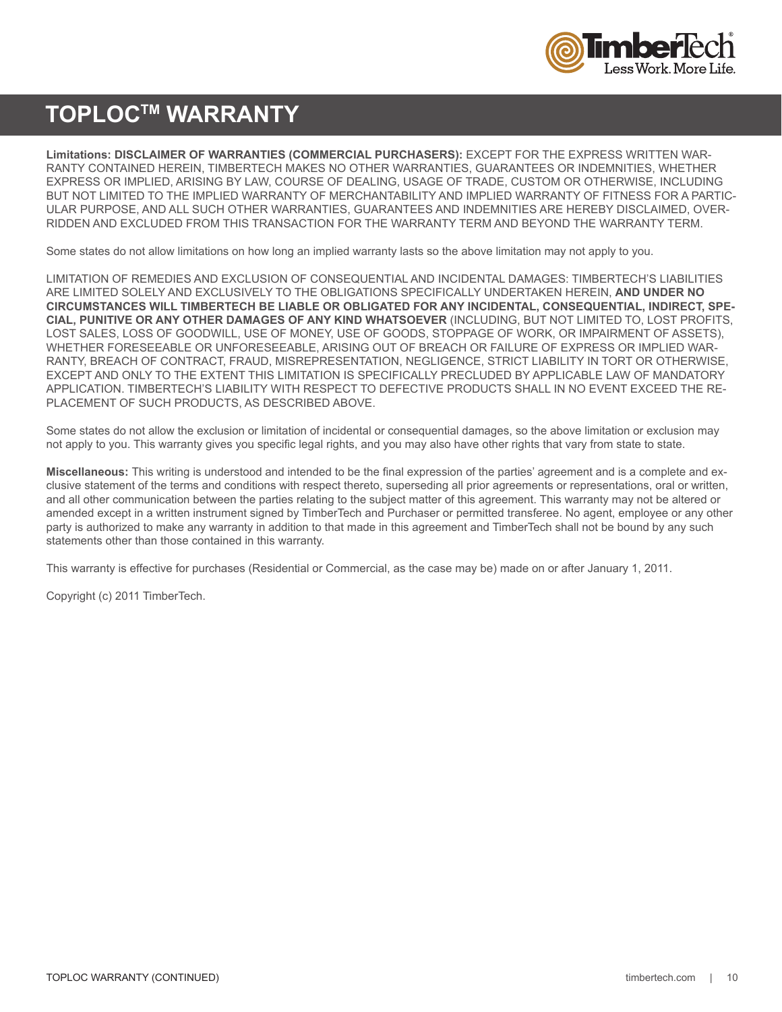

### **TOPLOCTM WARRANTY**

**Limitations: DISCLAIMER OF WARRANTIES (COMMERCIAL PURCHASERS):** EXCEPT FOR THE EXPRESS WRITTEN WAR-RANTY CONTAINED HEREIN, TIMBERTECH MAKES NO OTHER WARRANTIES, GUARANTEES OR INDEMNITIES, WHETHER EXPRESS OR IMPLIED, ARISING BY LAW, COURSE OF DEALING, USAGE OF TRADE, CUSTOM OR OTHERWISE, INCLUDING BUT NOT LIMITED TO THE IMPLIED WARRANTY OF MERCHANTABILITY AND IMPLIED WARRANTY OF FITNESS FOR A PARTIC-ULAR PURPOSE, AND ALL SUCH OTHER WARRANTIES, GUARANTEES AND INDEMNITIES ARE HEREBY DISCLAIMED, OVER-RIDDEN AND EXCLUDED FROM THIS TRANSACTION FOR THE WARRANTY TERM AND BEYOND THE WARRANTY TERM.

Some states do not allow limitations on how long an implied warranty lasts so the above limitation may not apply to you.

LIMITATION OF REMEDIES AND EXCLUSION OF CONSEQUENTIAL AND INCIDENTAL DAMAGES: TIMBERTECH'S LIABILITIES ARE LIMITED SOLELY AND EXCLUSIVELY TO THE OBLIGATIONS SPECIFICALLY UNDERTAKEN HEREIN, **AND UNDER NO CIRCUMSTANCES WILL TIMBERTECH BE LIABLE OR OBLIGATED FOR ANY INCIDENTAL, CONSEQUENTIAL, INDIRECT, SPE-CIAL, PUNITIVE OR ANY OTHER DAMAGES OF ANY KIND WHATSOEVER** (INCLUDING, BUT NOT LIMITED TO, LOST PROFITS, LOST SALES, LOSS OF GOODWILL, USE OF MONEY, USE OF GOODS, STOPPAGE OF WORK, OR IMPAIRMENT OF ASSETS), WHETHER FORESEEABLE OR UNFORESEEABLE, ARISING OUT OF BREACH OR FAILURE OF EXPRESS OR IMPLIED WAR-RANTY, BREACH OF CONTRACT, FRAUD, MISREPRESENTATION, NEGLIGENCE, STRICT LIABILITY IN TORT OR OTHERWISE, EXCEPT AND ONLY TO THE EXTENT THIS LIMITATION IS SPECIFICALLY PRECLUDED BY APPLICABLE LAW OF MANDATORY APPLICATION. TIMBERTECH'S LIABILITY WITH RESPECT TO DEFECTIVE PRODUCTS SHALL IN NO EVENT EXCEED THE RE-PLACEMENT OF SUCH PRODUCTS, AS DESCRIBED ABOVE.

Some states do not allow the exclusion or limitation of incidental or consequential damages, so the above limitation or exclusion may not apply to you. This warranty gives you specific legal rights, and you may also have other rights that vary from state to state.

**Miscellaneous:** This writing is understood and intended to be the final expression of the parties' agreement and is a complete and exclusive statement of the terms and conditions with respect thereto, superseding all prior agreements or representations, oral or written, and all other communication between the parties relating to the subject matter of this agreement. This warranty may not be altered or amended except in a written instrument signed by TimberTech and Purchaser or permitted transferee. No agent, employee or any other party is authorized to make any warranty in addition to that made in this agreement and TimberTech shall not be bound by any such statements other than those contained in this warranty.

This warranty is effective for purchases (Residential or Commercial, as the case may be) made on or after January 1, 2011.

Copyright (c) 2011 TimberTech.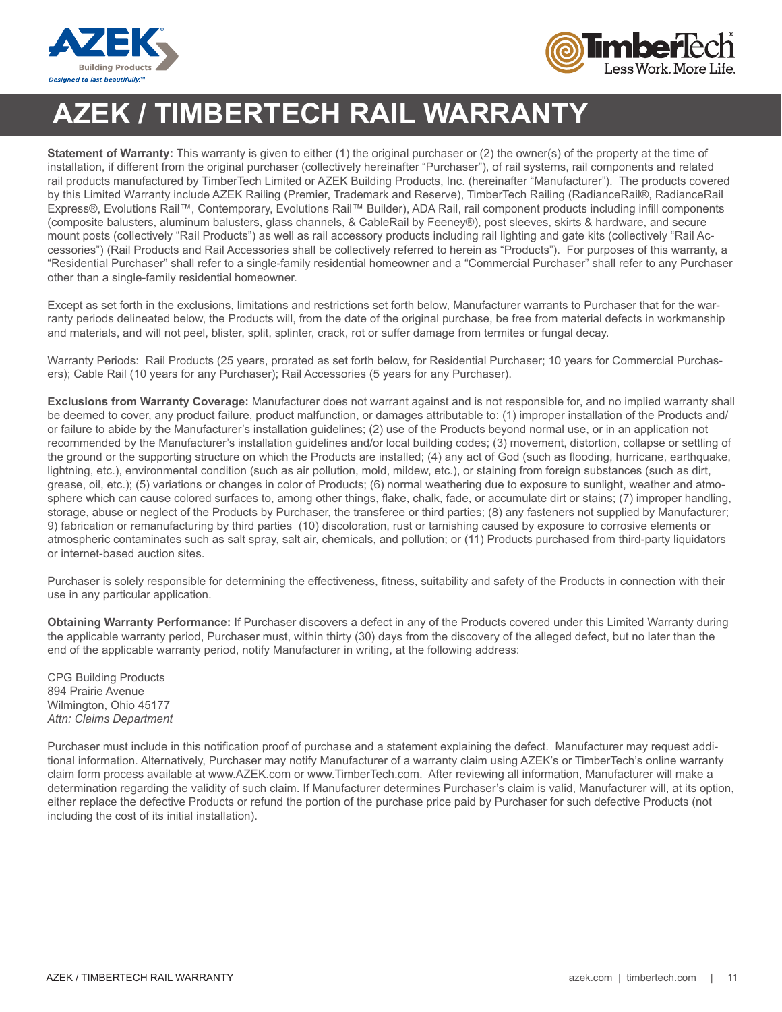



## **AZEK / TIMBERTECH RAIL WARRANTY**

**Statement of Warranty:** This warranty is given to either (1) the original purchaser or (2) the owner(s) of the property at the time of installation, if different from the original purchaser (collectively hereinafter "Purchaser"), of rail systems, rail components and related rail products manufactured by TimberTech Limited or AZEK Building Products, Inc. (hereinafter "Manufacturer"). The products covered by this Limited Warranty include AZEK Railing (Premier, Trademark and Reserve), TimberTech Railing (RadianceRail®, RadianceRail Express®, Evolutions Rail™, Contemporary, Evolutions Rail™ Builder), ADA Rail, rail component products including infill components (composite balusters, aluminum balusters, glass channels, & CableRail by Feeney®), post sleeves, skirts & hardware, and secure mount posts (collectively "Rail Products") as well as rail accessory products including rail lighting and gate kits (collectively "Rail Accessories") (Rail Products and Rail Accessories shall be collectively referred to herein as "Products"). For purposes of this warranty, a "Residential Purchaser" shall refer to a single-family residential homeowner and a "Commercial Purchaser" shall refer to any Purchaser other than a single-family residential homeowner.

Except as set forth in the exclusions, limitations and restrictions set forth below, Manufacturer warrants to Purchaser that for the warranty periods delineated below, the Products will, from the date of the original purchase, be free from material defects in workmanship and materials, and will not peel, blister, split, splinter, crack, rot or suffer damage from termites or fungal decay.

Warranty Periods: Rail Products (25 years, prorated as set forth below, for Residential Purchaser; 10 years for Commercial Purchasers); Cable Rail (10 years for any Purchaser); Rail Accessories (5 years for any Purchaser).

**Exclusions from Warranty Coverage:** Manufacturer does not warrant against and is not responsible for, and no implied warranty shall be deemed to cover, any product failure, product malfunction, or damages attributable to: (1) improper installation of the Products and/ or failure to abide by the Manufacturer's installation guidelines; (2) use of the Products beyond normal use, or in an application not recommended by the Manufacturer's installation guidelines and/or local building codes; (3) movement, distortion, collapse or settling of the ground or the supporting structure on which the Products are installed; (4) any act of God (such as flooding, hurricane, earthquake, lightning, etc.), environmental condition (such as air pollution, mold, mildew, etc.), or staining from foreign substances (such as dirt, grease, oil, etc.); (5) variations or changes in color of Products; (6) normal weathering due to exposure to sunlight, weather and atmosphere which can cause colored surfaces to, among other things, flake, chalk, fade, or accumulate dirt or stains; (7) improper handling, storage, abuse or neglect of the Products by Purchaser, the transferee or third parties; (8) any fasteners not supplied by Manufacturer; 9) fabrication or remanufacturing by third parties (10) discoloration, rust or tarnishing caused by exposure to corrosive elements or atmospheric contaminates such as salt spray, salt air, chemicals, and pollution; or (11) Products purchased from third-party liquidators or internet-based auction sites.

Purchaser is solely responsible for determining the effectiveness, fitness, suitability and safety of the Products in connection with their use in any particular application.

**Obtaining Warranty Performance:** If Purchaser discovers a defect in any of the Products covered under this Limited Warranty during the applicable warranty period, Purchaser must, within thirty (30) days from the discovery of the alleged defect, but no later than the end of the applicable warranty period, notify Manufacturer in writing, at the following address:

CPG Building Products 894 Prairie Avenue Wilmington, Ohio 45177 *Attn: Claims Department*

Purchaser must include in this notification proof of purchase and a statement explaining the defect. Manufacturer may request additional information. Alternatively, Purchaser may notify Manufacturer of a warranty claim using AZEK's or TimberTech's online warranty claim form process available at www.AZEK.com or www.TimberTech.com. After reviewing all information, Manufacturer will make a determination regarding the validity of such claim. If Manufacturer determines Purchaser's claim is valid, Manufacturer will, at its option, either replace the defective Products or refund the portion of the purchase price paid by Purchaser for such defective Products (not including the cost of its initial installation).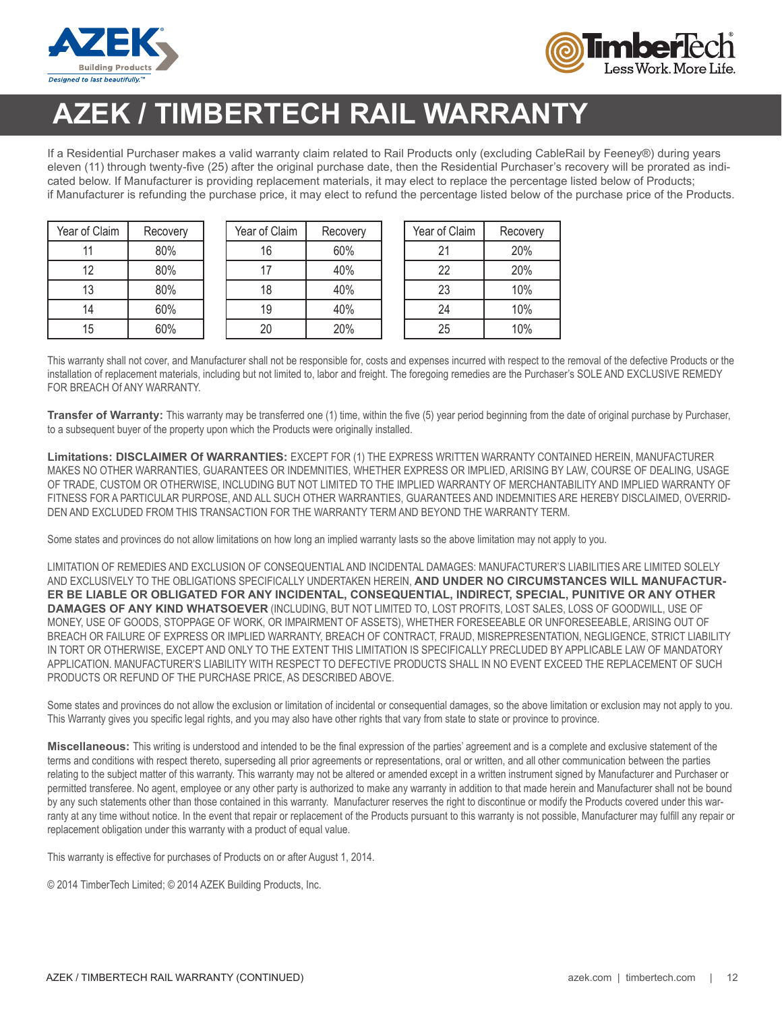



## **AZEK / TIMBERTECH RAIL WARRANTY**

If a Residential Purchaser makes a valid warranty claim related to Rail Products only (excluding CableRail by Feeney®) during years eleven (11) through twenty-five (25) after the original purchase date, then the Residential Purchaser's recovery will be prorated as indicated below. If Manufacturer is providing replacement materials, it may elect to replace the percentage listed below of Products; if Manufacturer is refunding the purchase price, it may elect to refund the percentage listed below of the purchase price of the Products.

| Year of Claim | Recovery |
|---------------|----------|
| 11            | 80%      |
| 12            | 80%      |
| 13            | 80%      |
| 14            | 60%      |
| 15            | 60%      |

| Year of Claim | Recovery |
|---------------|----------|
| 16            | 60%      |
| 17            | 40%      |
| 18            | 40%      |
| 19            | 40%      |
| 20            | 20%      |

| Year of Claim | Recovery |
|---------------|----------|
| 21            | 20%      |
| 22            | 20%      |
| 23            | 10%      |
| 24            | 10%      |
| 25            | 10%      |

This warranty shall not cover, and Manufacturer shall not be responsible for, costs and expenses incurred with respect to the removal of the defective Products or the installation of replacement materials, including but not limited to, labor and freight. The foregoing remedies are the Purchaser's SOLE AND EXCLUSIVE REMEDY FOR BREACH Of ANY WARRANTY.

**Transfer of Warranty:** This warranty may be transferred one (1) time, within the five (5) year period beginning from the date of original purchase by Purchaser, to a subsequent buyer of the property upon which the Products were originally installed.

**Limitations: DISCLAIMER Of WARRANTIES:** EXCEPT FOR (1) THE EXPRESS WRITTEN WARRANTY CONTAINED HEREIN, MANUFACTURER MAKES NO OTHER WARRANTIES, GUARANTEES OR INDEMNITIES, WHETHER EXPRESS OR IMPLIED, ARISING BY LAW, COURSE OF DEALING, USAGE OF TRADE, CUSTOM OR OTHERWISE, INCLUDING BUT NOT LIMITED TO THE IMPLIED WARRANTY OF MERCHANTABILITY AND IMPLIED WARRANTY OF FITNESS FOR A PARTICULAR PURPOSE, AND ALL SUCH OTHER WARRANTIES, GUARANTEES AND INDEMNITIES ARE HEREBY DISCLAIMED, OVERRID-DEN AND EXCLUDED FROM THIS TRANSACTION FOR THE WARRANTY TERM AND BEYOND THE WARRANTY TERM.

Some states and provinces do not allow limitations on how long an implied warranty lasts so the above limitation may not apply to you.

LIMITATION OF REMEDIES AND EXCLUSION OF CONSEQUENTIAL AND INCIDENTAL DAMAGES: MANUFACTURER'S LIABILITIES ARE LIMITED SOLELY AND EXCLUSIVELY TO THE OBLIGATIONS SPECIFICALLY UNDERTAKEN HEREIN, **AND UNDER NO CIRCUMSTANCES WILL MANUFACTUR-ER BE LIABLE OR OBLIGATED FOR ANY INCIDENTAL, CONSEQUENTIAL, INDIRECT, SPECIAL, PUNITIVE OR ANY OTHER DAMAGES OF ANY KIND WHATSOEVER** (INCLUDING, BUT NOT LIMITED TO, LOST PROFITS, LOST SALES, LOSS OF GOODWILL, USE OF MONEY, USE OF GOODS, STOPPAGE OF WORK, OR IMPAIRMENT OF ASSETS), WHETHER FORESEEABLE OR UNFORESEEABLE, ARISING OUT OF BREACH OR FAILURE OF EXPRESS OR IMPLIED WARRANTY, BREACH OF CONTRACT, FRAUD, MISREPRESENTATION, NEGLIGENCE, STRICT LIABILITY IN TORT OR OTHERWISE, EXCEPT AND ONLY TO THE EXTENT THIS LIMITATION IS SPECIFICALLY PRECLUDED BY APPLICABLE LAW OF MANDATORY APPLICATION. MANUFACTURER'S LIABILITY WITH RESPECT TO DEFECTIVE PRODUCTS SHALL IN NO EVENT EXCEED THE REPLACEMENT OF SUCH PRODUCTS OR REFUND OF THE PURCHASE PRICE, AS DESCRIBED ABOVE.

Some states and provinces do not allow the exclusion or limitation of incidental or consequential damages, so the above limitation or exclusion may not apply to you. This Warranty gives you specific legal rights, and you may also have other rights that vary from state to state or province to province.

**Miscellaneous:** This writing is understood and intended to be the final expression of the parties' agreement and is a complete and exclusive statement of the terms and conditions with respect thereto, superseding all prior agreements or representations, oral or written, and all other communication between the parties relating to the subject matter of this warranty. This warranty may not be altered or amended except in a written instrument signed by Manufacturer and Purchaser or permitted transferee. No agent, employee or any other party is authorized to make any warranty in addition to that made herein and Manufacturer shall not be bound by any such statements other than those contained in this warranty. Manufacturer reserves the right to discontinue or modify the Products covered under this warranty at any time without notice. In the event that repair or replacement of the Products pursuant to this warranty is not possible, Manufacturer may fulfill any repair or replacement obligation under this warranty with a product of equal value.

This warranty is effective for purchases of Products on or after August 1, 2014.

© 2014 TimberTech Limited; © 2014 AZEK Building Products, Inc.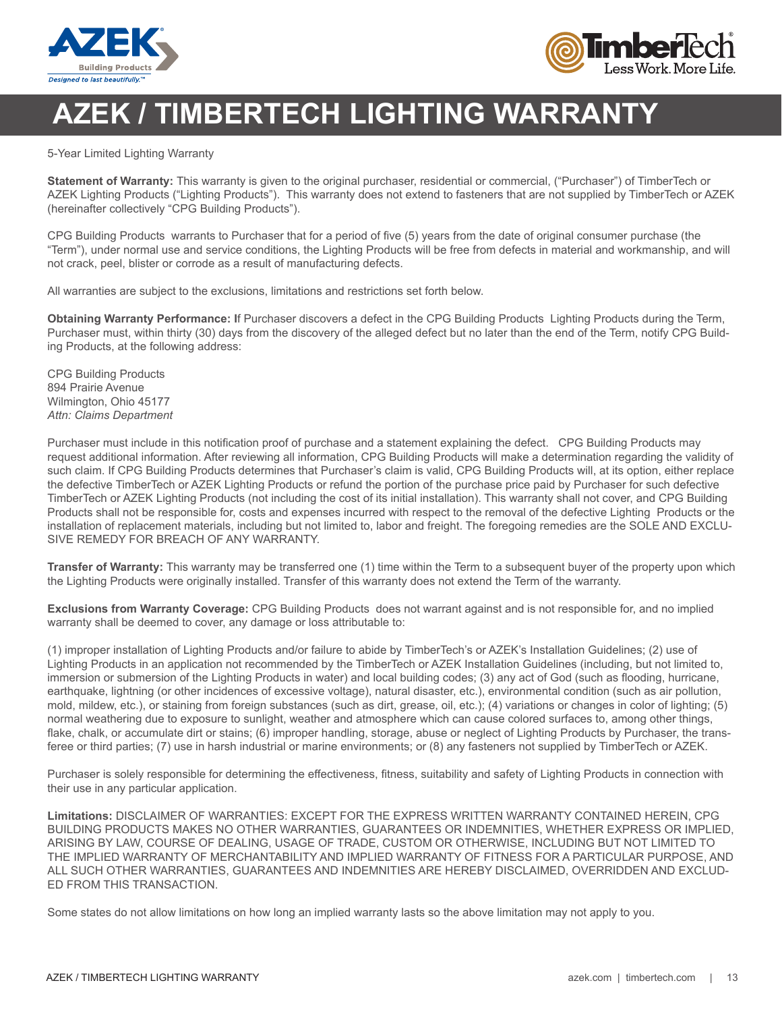



## **AZEK / TIMBERTECH LIGHTING WARRANTY**

5-Year Limited Lighting Warranty

**Statement of Warranty:** This warranty is given to the original purchaser, residential or commercial, ("Purchaser") of TimberTech or AZEK Lighting Products ("Lighting Products"). This warranty does not extend to fasteners that are not supplied by TimberTech or AZEK (hereinafter collectively "CPG Building Products").

CPG Building Products warrants to Purchaser that for a period of five (5) years from the date of original consumer purchase (the "Term"), under normal use and service conditions, the Lighting Products will be free from defects in material and workmanship, and will not crack, peel, blister or corrode as a result of manufacturing defects.

All warranties are subject to the exclusions, limitations and restrictions set forth below.

**Obtaining Warranty Performance: I**f Purchaser discovers a defect in the CPG Building Products Lighting Products during the Term, Purchaser must, within thirty (30) days from the discovery of the alleged defect but no later than the end of the Term, notify CPG Building Products, at the following address:

CPG Building Products 894 Prairie Avenue Wilmington, Ohio 45177 *Attn: Claims Department*

Purchaser must include in this notification proof of purchase and a statement explaining the defect. CPG Building Products may request additional information. After reviewing all information, CPG Building Products will make a determination regarding the validity of such claim. If CPG Building Products determines that Purchaser's claim is valid, CPG Building Products will, at its option, either replace the defective TimberTech or AZEK Lighting Products or refund the portion of the purchase price paid by Purchaser for such defective TimberTech or AZEK Lighting Products (not including the cost of its initial installation). This warranty shall not cover, and CPG Building Products shall not be responsible for, costs and expenses incurred with respect to the removal of the defective Lighting Products or the installation of replacement materials, including but not limited to, labor and freight. The foregoing remedies are the SOLE AND EXCLU-SIVE REMEDY FOR BREACH OF ANY WARRANTY.

**Transfer of Warranty:** This warranty may be transferred one (1) time within the Term to a subsequent buyer of the property upon which the Lighting Products were originally installed. Transfer of this warranty does not extend the Term of the warranty.

**Exclusions from Warranty Coverage:** CPG Building Products does not warrant against and is not responsible for, and no implied warranty shall be deemed to cover, any damage or loss attributable to:

(1) improper installation of Lighting Products and/or failure to abide by TimberTech's or AZEK's Installation Guidelines; (2) use of Lighting Products in an application not recommended by the TimberTech or AZEK Installation Guidelines (including, but not limited to, immersion or submersion of the Lighting Products in water) and local building codes; (3) any act of God (such as flooding, hurricane, earthquake, lightning (or other incidences of excessive voltage), natural disaster, etc.), environmental condition (such as air pollution, mold, mildew, etc.), or staining from foreign substances (such as dirt, grease, oil, etc.); (4) variations or changes in color of lighting; (5) normal weathering due to exposure to sunlight, weather and atmosphere which can cause colored surfaces to, among other things, flake, chalk, or accumulate dirt or stains; (6) improper handling, storage, abuse or neglect of Lighting Products by Purchaser, the transferee or third parties; (7) use in harsh industrial or marine environments; or (8) any fasteners not supplied by TimberTech or AZEK.

Purchaser is solely responsible for determining the effectiveness, fitness, suitability and safety of Lighting Products in connection with their use in any particular application.

**Limitations:** DISCLAIMER OF WARRANTIES: EXCEPT FOR THE EXPRESS WRITTEN WARRANTY CONTAINED HEREIN, CPG BUILDING PRODUCTS MAKES NO OTHER WARRANTIES, GUARANTEES OR INDEMNITIES, WHETHER EXPRESS OR IMPLIED, ARISING BY LAW, COURSE OF DEALING, USAGE OF TRADE, CUSTOM OR OTHERWISE, INCLUDING BUT NOT LIMITED TO THE IMPLIED WARRANTY OF MERCHANTABILITY AND IMPLIED WARRANTY OF FITNESS FOR A PARTICULAR PURPOSE, AND ALL SUCH OTHER WARRANTIES, GUARANTEES AND INDEMNITIES ARE HEREBY DISCLAIMED, OVERRIDDEN AND EXCLUD-ED FROM THIS TRANSACTION.

Some states do not allow limitations on how long an implied warranty lasts so the above limitation may not apply to you.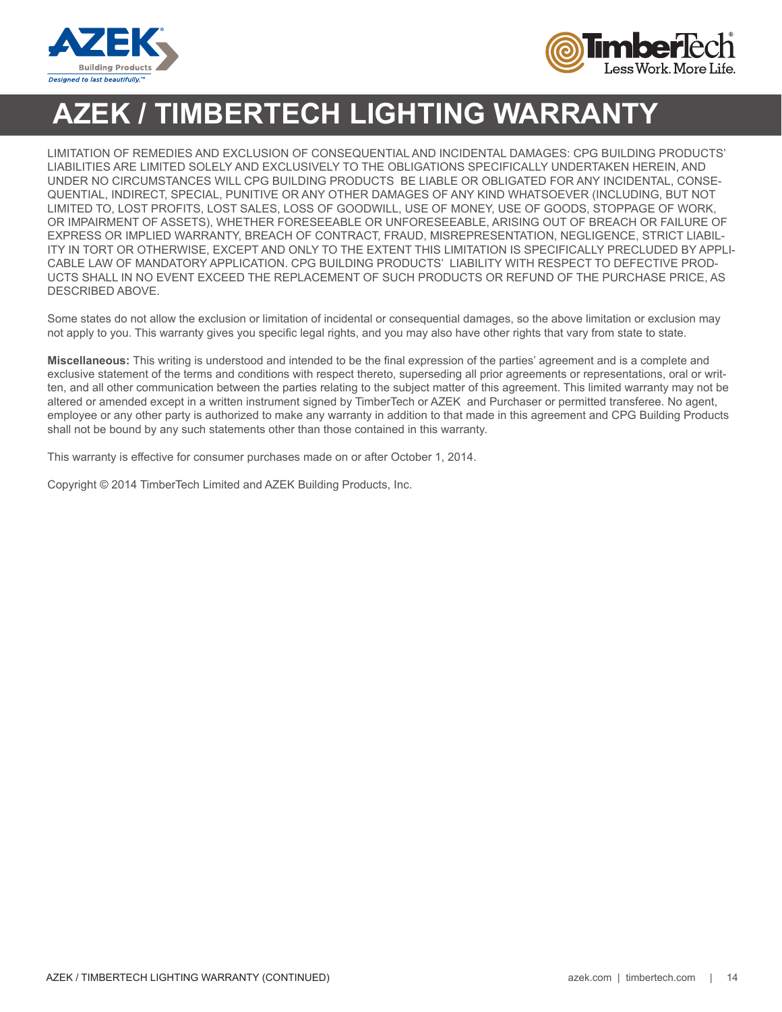



## **AZEK / TIMBERTECH LIGHTING WARRANTY**

LIMITATION OF REMEDIES AND EXCLUSION OF CONSEQUENTIAL AND INCIDENTAL DAMAGES: CPG BUILDING PRODUCTS' LIABILITIES ARE LIMITED SOLELY AND EXCLUSIVELY TO THE OBLIGATIONS SPECIFICALLY UNDERTAKEN HEREIN, AND UNDER NO CIRCUMSTANCES WILL CPG BUILDING PRODUCTS BE LIABLE OR OBLIGATED FOR ANY INCIDENTAL, CONSE-QUENTIAL, INDIRECT, SPECIAL, PUNITIVE OR ANY OTHER DAMAGES OF ANY KIND WHATSOEVER (INCLUDING, BUT NOT LIMITED TO, LOST PROFITS, LOST SALES, LOSS OF GOODWILL, USE OF MONEY, USE OF GOODS, STOPPAGE OF WORK, OR IMPAIRMENT OF ASSETS), WHETHER FORESEEABLE OR UNFORESEEABLE, ARISING OUT OF BREACH OR FAILURE OF EXPRESS OR IMPLIED WARRANTY, BREACH OF CONTRACT, FRAUD, MISREPRESENTATION, NEGLIGENCE, STRICT LIABIL-ITY IN TORT OR OTHERWISE, EXCEPT AND ONLY TO THE EXTENT THIS LIMITATION IS SPECIFICALLY PRECLUDED BY APPLI-CABLE LAW OF MANDATORY APPLICATION. CPG BUILDING PRODUCTS' LIABILITY WITH RESPECT TO DEFECTIVE PROD-UCTS SHALL IN NO EVENT EXCEED THE REPLACEMENT OF SUCH PRODUCTS OR REFUND OF THE PURCHASE PRICE, AS DESCRIBED ABOVE.

Some states do not allow the exclusion or limitation of incidental or consequential damages, so the above limitation or exclusion may not apply to you. This warranty gives you specific legal rights, and you may also have other rights that vary from state to state.

**Miscellaneous:** This writing is understood and intended to be the final expression of the parties' agreement and is a complete and exclusive statement of the terms and conditions with respect thereto, superseding all prior agreements or representations, oral or written, and all other communication between the parties relating to the subject matter of this agreement. This limited warranty may not be altered or amended except in a written instrument signed by TimberTech or AZEK and Purchaser or permitted transferee. No agent, employee or any other party is authorized to make any warranty in addition to that made in this agreement and CPG Building Products shall not be bound by any such statements other than those contained in this warranty.

This warranty is effective for consumer purchases made on or after October 1, 2014.

Copyright © 2014 TimberTech Limited and AZEK Building Products, Inc.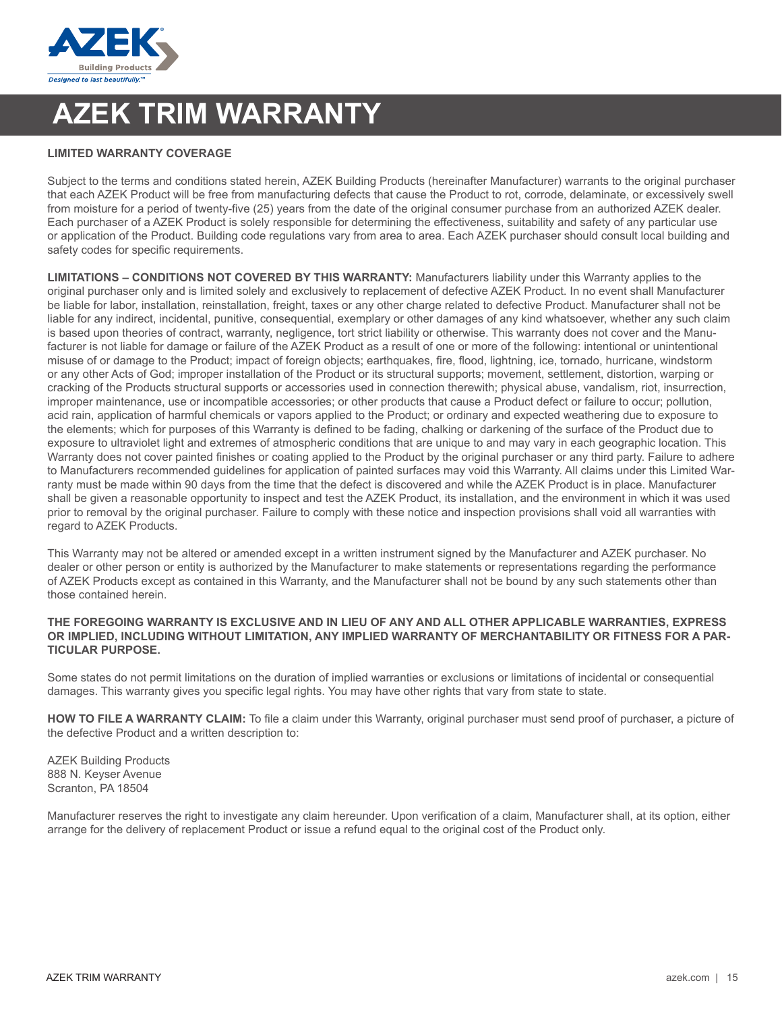

## **AZEK TRIM WARRANTY**

### **LIMITED WARRANTY COVERAGE**

Subject to the terms and conditions stated herein, AZEK Building Products (hereinafter Manufacturer) warrants to the original purchaser that each AZEK Product will be free from manufacturing defects that cause the Product to rot, corrode, delaminate, or excessively swell from moisture for a period of twenty-five (25) years from the date of the original consumer purchase from an authorized AZEK dealer. Each purchaser of a AZEK Product is solely responsible for determining the effectiveness, suitability and safety of any particular use or application of the Product. Building code regulations vary from area to area. Each AZEK purchaser should consult local building and safety codes for specific requirements.

**LIMITATIONS – CONDITIONS NOT COVERED BY THIS WARRANTY:** Manufacturers liability under this Warranty applies to the original purchaser only and is limited solely and exclusively to replacement of defective AZEK Product. In no event shall Manufacturer be liable for labor, installation, reinstallation, freight, taxes or any other charge related to defective Product. Manufacturer shall not be liable for any indirect, incidental, punitive, consequential, exemplary or other damages of any kind whatsoever, whether any such claim is based upon theories of contract, warranty, negligence, tort strict liability or otherwise. This warranty does not cover and the Manufacturer is not liable for damage or failure of the AZEK Product as a result of one or more of the following: intentional or unintentional misuse of or damage to the Product; impact of foreign objects; earthquakes, fire, flood, lightning, ice, tornado, hurricane, windstorm or any other Acts of God; improper installation of the Product or its structural supports; movement, settlement, distortion, warping or cracking of the Products structural supports or accessories used in connection therewith; physical abuse, vandalism, riot, insurrection, improper maintenance, use or incompatible accessories; or other products that cause a Product defect or failure to occur; pollution, acid rain, application of harmful chemicals or vapors applied to the Product; or ordinary and expected weathering due to exposure to the elements; which for purposes of this Warranty is defined to be fading, chalking or darkening of the surface of the Product due to exposure to ultraviolet light and extremes of atmospheric conditions that are unique to and may vary in each geographic location. This Warranty does not cover painted finishes or coating applied to the Product by the original purchaser or any third party. Failure to adhere to Manufacturers recommended guidelines for application of painted surfaces may void this Warranty. All claims under this Limited Warranty must be made within 90 days from the time that the defect is discovered and while the AZEK Product is in place. Manufacturer shall be given a reasonable opportunity to inspect and test the AZEK Product, its installation, and the environment in which it was used prior to removal by the original purchaser. Failure to comply with these notice and inspection provisions shall void all warranties with regard to AZEK Products.

This Warranty may not be altered or amended except in a written instrument signed by the Manufacturer and AZEK purchaser. No dealer or other person or entity is authorized by the Manufacturer to make statements or representations regarding the performance of AZEK Products except as contained in this Warranty, and the Manufacturer shall not be bound by any such statements other than those contained herein.

#### **THE FOREGOING WARRANTY IS EXCLUSIVE AND IN LIEU OF ANY AND ALL OTHER APPLICABLE WARRANTIES, EXPRESS OR IMPLIED, INCLUDING WITHOUT LIMITATION, ANY IMPLIED WARRANTY OF MERCHANTABILITY OR FITNESS FOR A PAR-TICULAR PURPOSE.**

Some states do not permit limitations on the duration of implied warranties or exclusions or limitations of incidental or consequential damages. This warranty gives you specific legal rights. You may have other rights that vary from state to state.

**HOW TO FILE A WARRANTY CLAIM:** To file a claim under this Warranty, original purchaser must send proof of purchaser, a picture of the defective Product and a written description to:

AZEK Building Products 888 N. Keyser Avenue Scranton, PA 18504

Manufacturer reserves the right to investigate any claim hereunder. Upon verification of a claim, Manufacturer shall, at its option, either arrange for the delivery of replacement Product or issue a refund equal to the original cost of the Product only.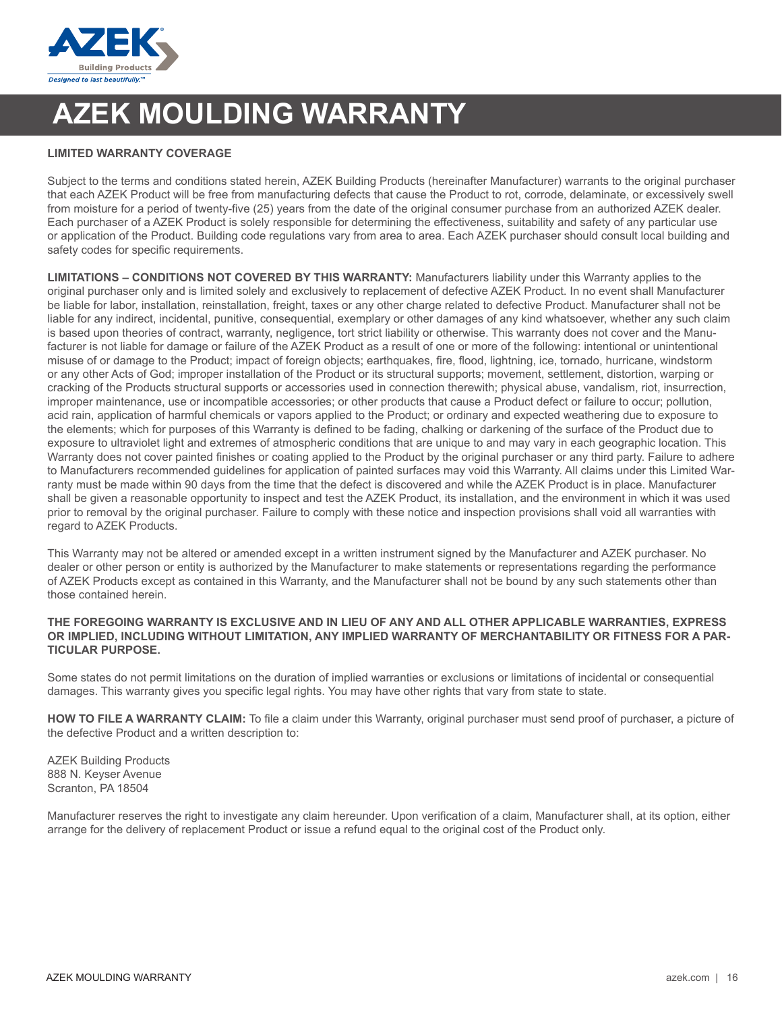

## **AZEK MOULDING WARRANTY**

### **LIMITED WARRANTY COVERAGE**

Subject to the terms and conditions stated herein, AZEK Building Products (hereinafter Manufacturer) warrants to the original purchaser that each AZEK Product will be free from manufacturing defects that cause the Product to rot, corrode, delaminate, or excessively swell from moisture for a period of twenty-five (25) years from the date of the original consumer purchase from an authorized AZEK dealer. Each purchaser of a AZEK Product is solely responsible for determining the effectiveness, suitability and safety of any particular use or application of the Product. Building code regulations vary from area to area. Each AZEK purchaser should consult local building and safety codes for specific requirements.

**LIMITATIONS – CONDITIONS NOT COVERED BY THIS WARRANTY:** Manufacturers liability under this Warranty applies to the original purchaser only and is limited solely and exclusively to replacement of defective AZEK Product. In no event shall Manufacturer be liable for labor, installation, reinstallation, freight, taxes or any other charge related to defective Product. Manufacturer shall not be liable for any indirect, incidental, punitive, consequential, exemplary or other damages of any kind whatsoever, whether any such claim is based upon theories of contract, warranty, negligence, tort strict liability or otherwise. This warranty does not cover and the Manufacturer is not liable for damage or failure of the AZEK Product as a result of one or more of the following: intentional or unintentional misuse of or damage to the Product; impact of foreign objects; earthquakes, fire, flood, lightning, ice, tornado, hurricane, windstorm or any other Acts of God; improper installation of the Product or its structural supports; movement, settlement, distortion, warping or cracking of the Products structural supports or accessories used in connection therewith; physical abuse, vandalism, riot, insurrection, improper maintenance, use or incompatible accessories; or other products that cause a Product defect or failure to occur; pollution, acid rain, application of harmful chemicals or vapors applied to the Product; or ordinary and expected weathering due to exposure to the elements; which for purposes of this Warranty is defined to be fading, chalking or darkening of the surface of the Product due to exposure to ultraviolet light and extremes of atmospheric conditions that are unique to and may vary in each geographic location. This Warranty does not cover painted finishes or coating applied to the Product by the original purchaser or any third party. Failure to adhere to Manufacturers recommended guidelines for application of painted surfaces may void this Warranty. All claims under this Limited Warranty must be made within 90 days from the time that the defect is discovered and while the AZEK Product is in place. Manufacturer shall be given a reasonable opportunity to inspect and test the AZEK Product, its installation, and the environment in which it was used prior to removal by the original purchaser. Failure to comply with these notice and inspection provisions shall void all warranties with regard to AZEK Products.

This Warranty may not be altered or amended except in a written instrument signed by the Manufacturer and AZEK purchaser. No dealer or other person or entity is authorized by the Manufacturer to make statements or representations regarding the performance of AZEK Products except as contained in this Warranty, and the Manufacturer shall not be bound by any such statements other than those contained herein.

#### **THE FOREGOING WARRANTY IS EXCLUSIVE AND IN LIEU OF ANY AND ALL OTHER APPLICABLE WARRANTIES, EXPRESS OR IMPLIED, INCLUDING WITHOUT LIMITATION, ANY IMPLIED WARRANTY OF MERCHANTABILITY OR FITNESS FOR A PAR-TICULAR PURPOSE.**

Some states do not permit limitations on the duration of implied warranties or exclusions or limitations of incidental or consequential damages. This warranty gives you specific legal rights. You may have other rights that vary from state to state.

**HOW TO FILE A WARRANTY CLAIM:** To file a claim under this Warranty, original purchaser must send proof of purchaser, a picture of the defective Product and a written description to:

AZEK Building Products 888 N. Keyser Avenue Scranton, PA 18504

Manufacturer reserves the right to investigate any claim hereunder. Upon verification of a claim, Manufacturer shall, at its option, either arrange for the delivery of replacement Product or issue a refund equal to the original cost of the Product only.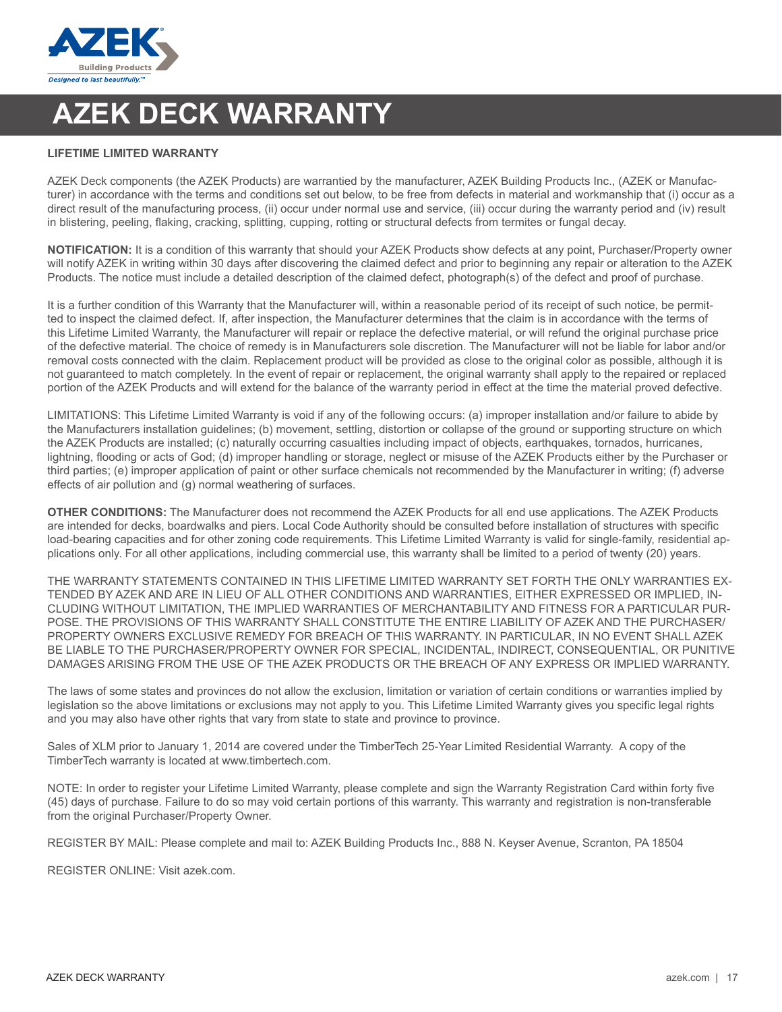

## **AZEK DECK WARRANTY**

#### **LIFETIME LIMITED WARRANTY**

AZEK Deck components (the AZEK Products) are warrantied by the manufacturer, AZEK Building Products Inc., (AZEK or Manufacturer) in accordance with the terms and conditions set out below, to be free from defects in material and workmanship that (i) occur as a direct result of the manufacturing process, (ii) occur under normal use and service, (iii) occur during the warranty period and (iv) result in blistering, peeling, flaking, cracking, splitting, cupping, rotting or structural defects from termites or fungal decay.

**NOTIFICATION:** It is a condition of this warranty that should your AZEK Products show defects at any point, Purchaser/Property owner will notify AZEK in writing within 30 days after discovering the claimed defect and prior to beginning any repair or alteration to the AZEK Products. The notice must include a detailed description of the claimed defect, photograph(s) of the defect and proof of purchase.

It is a further condition of this Warranty that the Manufacturer will, within a reasonable period of its receipt of such notice, be permitted to inspect the claimed defect. If, after inspection, the Manufacturer determines that the claim is in accordance with the terms of this Lifetime Limited Warranty, the Manufacturer will repair or replace the defective material, or will refund the original purchase price of the defective material. The choice of remedy is in Manufacturers sole discretion. The Manufacturer will not be liable for labor and/or removal costs connected with the claim. Replacement product will be provided as close to the original color as possible, although it is not guaranteed to match completely. In the event of repair or replacement, the original warranty shall apply to the repaired or replaced portion of the AZEK Products and will extend for the balance of the warranty period in effect at the time the material proved defective.

LIMITATIONS: This Lifetime Limited Warranty is void if any of the following occurs: (a) improper installation and/or failure to abide by the Manufacturers installation guidelines; (b) movement, settling, distortion or collapse of the ground or supporting structure on which the AZEK Products are installed; (c) naturally occurring casualties including impact of objects, earthquakes, tornados, hurricanes, lightning, flooding or acts of God; (d) improper handling or storage, neglect or misuse of the AZEK Products either by the Purchaser or third parties; (e) improper application of paint or other surface chemicals not recommended by the Manufacturer in writing; (f) adverse effects of air pollution and (g) normal weathering of surfaces.

**OTHER CONDITIONS:** The Manufacturer does not recommend the AZEK Products for all end use applications. The AZEK Products are intended for decks, boardwalks and piers. Local Code Authority should be consulted before installation of structures with specific load-bearing capacities and for other zoning code requirements. This Lifetime Limited Warranty is valid for single-family, residential applications only. For all other applications, including commercial use, this warranty shall be limited to a period of twenty (20) years.

THE WARRANTY STATEMENTS CONTAINED IN THIS LIFETIME LIMITED WARRANTY SET FORTH THE ONLY WARRANTIES EX-TENDED BY AZEK AND ARE IN LIEU OF ALL OTHER CONDITIONS AND WARRANTIES, EITHER EXPRESSED OR IMPLIED, IN-CLUDING WITHOUT LIMITATION, THE IMPLIED WARRANTIES OF MERCHANTABILITY AND FITNESS FOR A PARTICULAR PUR-POSE. THE PROVISIONS OF THIS WARRANTY SHALL CONSTITUTE THE ENTIRE LIABILITY OF AZEK AND THE PURCHASER/ PROPERTY OWNERS EXCLUSIVE REMEDY FOR BREACH OF THIS WARRANTY. IN PARTICULAR, IN NO EVENT SHALL AZEK BE LIABLE TO THE PURCHASER/PROPERTY OWNER FOR SPECIAL, INCIDENTAL, INDIRECT, CONSEQUENTIAL, OR PUNITIVE DAMAGES ARISING FROM THE USE OF THE AZEK PRODUCTS OR THE BREACH OF ANY EXPRESS OR IMPLIED WARRANTY.

The laws of some states and provinces do not allow the exclusion, limitation or variation of certain conditions or warranties implied by legislation so the above limitations or exclusions may not apply to you. This Lifetime Limited Warranty gives you specific legal rights and you may also have other rights that vary from state to state and province to province.

Sales of XLM prior to January 1, 2014 are covered under the TimberTech 25-Year Limited Residential Warranty. A copy of the TimberTech warranty is located at www.timbertech.com.

NOTE: In order to register your Lifetime Limited Warranty, please complete and sign the Warranty Registration Card within forty five (45) days of purchase. Failure to do so may void certain portions of this warranty. This warranty and registration is non-transferable from the original Purchaser/Property Owner.

REGISTER BY MAIL: Please complete and mail to: AZEK Building Products Inc., 888 N. Keyser Avenue, Scranton, PA 18504

REGISTER ONLINE: Visit azek.com.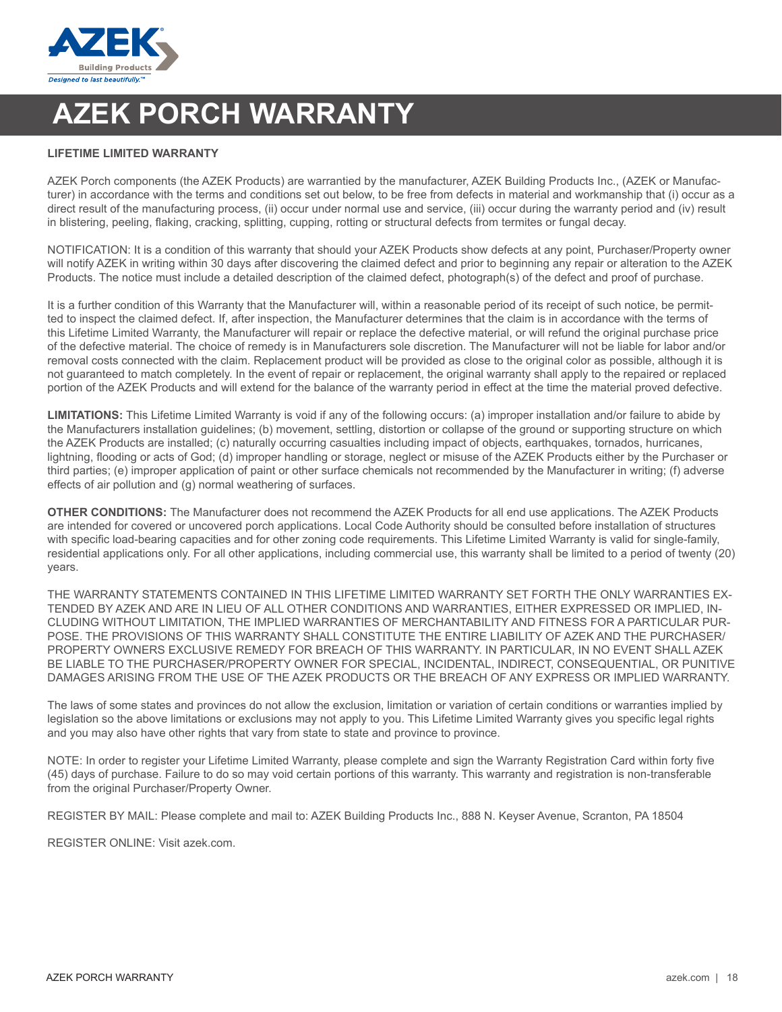

## **AZEK PORCH WARRANTY**

#### **LIFETIME LIMITED WARRANTY**

AZEK Porch components (the AZEK Products) are warrantied by the manufacturer, AZEK Building Products Inc., (AZEK or Manufacturer) in accordance with the terms and conditions set out below, to be free from defects in material and workmanship that (i) occur as a direct result of the manufacturing process, (ii) occur under normal use and service, (iii) occur during the warranty period and (iv) result in blistering, peeling, flaking, cracking, splitting, cupping, rotting or structural defects from termites or fungal decay.

NOTIFICATION: It is a condition of this warranty that should your AZEK Products show defects at any point, Purchaser/Property owner will notify AZEK in writing within 30 days after discovering the claimed defect and prior to beginning any repair or alteration to the AZEK Products. The notice must include a detailed description of the claimed defect, photograph(s) of the defect and proof of purchase.

It is a further condition of this Warranty that the Manufacturer will, within a reasonable period of its receipt of such notice, be permitted to inspect the claimed defect. If, after inspection, the Manufacturer determines that the claim is in accordance with the terms of this Lifetime Limited Warranty, the Manufacturer will repair or replace the defective material, or will refund the original purchase price of the defective material. The choice of remedy is in Manufacturers sole discretion. The Manufacturer will not be liable for labor and/or removal costs connected with the claim. Replacement product will be provided as close to the original color as possible, although it is not guaranteed to match completely. In the event of repair or replacement, the original warranty shall apply to the repaired or replaced portion of the AZEK Products and will extend for the balance of the warranty period in effect at the time the material proved defective.

**LIMITATIONS:** This Lifetime Limited Warranty is void if any of the following occurs: (a) improper installation and/or failure to abide by the Manufacturers installation guidelines; (b) movement, settling, distortion or collapse of the ground or supporting structure on which the AZEK Products are installed; (c) naturally occurring casualties including impact of objects, earthquakes, tornados, hurricanes, lightning, flooding or acts of God; (d) improper handling or storage, neglect or misuse of the AZEK Products either by the Purchaser or third parties; (e) improper application of paint or other surface chemicals not recommended by the Manufacturer in writing; (f) adverse effects of air pollution and (g) normal weathering of surfaces.

**OTHER CONDITIONS:** The Manufacturer does not recommend the AZEK Products for all end use applications. The AZEK Products are intended for covered or uncovered porch applications. Local Code Authority should be consulted before installation of structures with specific load-bearing capacities and for other zoning code requirements. This Lifetime Limited Warranty is valid for single-family, residential applications only. For all other applications, including commercial use, this warranty shall be limited to a period of twenty (20) years.

THE WARRANTY STATEMENTS CONTAINED IN THIS LIFETIME LIMITED WARRANTY SET FORTH THE ONLY WARRANTIES EX-TENDED BY AZEK AND ARE IN LIEU OF ALL OTHER CONDITIONS AND WARRANTIES, EITHER EXPRESSED OR IMPLIED, IN-CLUDING WITHOUT LIMITATION, THE IMPLIED WARRANTIES OF MERCHANTABILITY AND FITNESS FOR A PARTICULAR PUR-POSE. THE PROVISIONS OF THIS WARRANTY SHALL CONSTITUTE THE ENTIRE LIABILITY OF AZEK AND THE PURCHASER/ PROPERTY OWNERS EXCLUSIVE REMEDY FOR BREACH OF THIS WARRANTY. IN PARTICULAR, IN NO EVENT SHALL AZEK BE LIABLE TO THE PURCHASER/PROPERTY OWNER FOR SPECIAL, INCIDENTAL, INDIRECT, CONSEQUENTIAL, OR PUNITIVE DAMAGES ARISING FROM THE USE OF THE AZEK PRODUCTS OR THE BREACH OF ANY EXPRESS OR IMPLIED WARRANTY.

The laws of some states and provinces do not allow the exclusion, limitation or variation of certain conditions or warranties implied by legislation so the above limitations or exclusions may not apply to you. This Lifetime Limited Warranty gives you specific legal rights and you may also have other rights that vary from state to state and province to province.

NOTE: In order to register your Lifetime Limited Warranty, please complete and sign the Warranty Registration Card within forty five (45) days of purchase. Failure to do so may void certain portions of this warranty. This warranty and registration is non-transferable from the original Purchaser/Property Owner.

REGISTER BY MAIL: Please complete and mail to: AZEK Building Products Inc., 888 N. Keyser Avenue, Scranton, PA 18504

REGISTER ONLINE: Visit azek.com.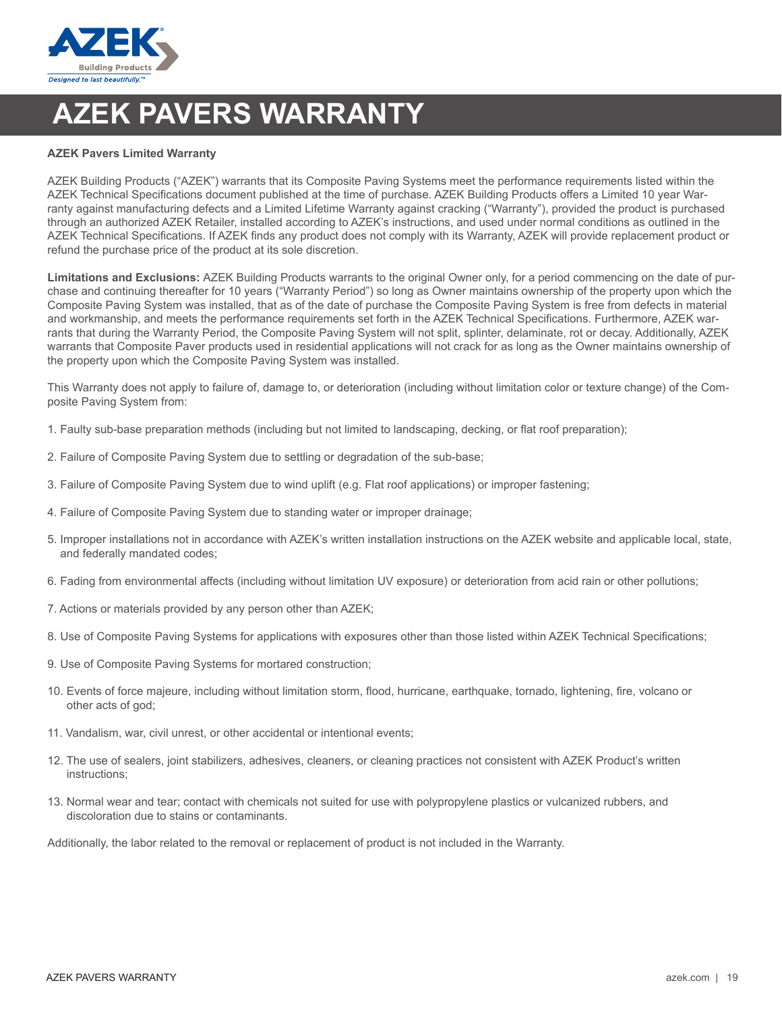

## **AZEK PAVERS WARRANTY**

#### **AZEK Pavers Limited Warranty**

AZEK Building Products ("AZEK") warrants that its Composite Paving Systems meet the performance requirements listed within the AZEK Technical Specifications document published at the time of purchase. AZEK Building Products offers a Limited 10 year Warranty against manufacturing defects and a Limited Lifetime Warranty against cracking ("Warranty"), provided the product is purchased through an authorized AZEK Retailer, installed according to AZEK's instructions, and used under normal conditions as outlined in the AZEK Technical Specifications. If AZEK finds any product does not comply with its Warranty, AZEK will provide replacement product or refund the purchase price of the product at its sole discretion.

**Limitations and Exclusions:** AZEK Building Products warrants to the original Owner only, for a period commencing on the date of purchase and continuing thereafter for 10 years ("Warranty Period") so long as Owner maintains ownership of the property upon which the Composite Paving System was installed, that as of the date of purchase the Composite Paving System is free from defects in material and workmanship, and meets the performance requirements set forth in the AZEK Technical Specifications. Furthermore, AZEK warrants that during the Warranty Period, the Composite Paving System will not split, splinter, delaminate, rot or decay. Additionally, AZEK warrants that Composite Paver products used in residential applications will not crack for as long as the Owner maintains ownership of the property upon which the Composite Paving System was installed.

This Warranty does not apply to failure of, damage to, or deterioration (including without limitation color or texture change) of the Composite Paving System from:

- 1. Faulty sub-base preparation methods (including but not limited to landscaping, decking, or flat roof preparation);
- 2. Failure of Composite Paving System due to settling or degradation of the sub-base;
- 3. Failure of Composite Paving System due to wind uplift (e.g. Flat roof applications) or improper fastening;
- 4. Failure of Composite Paving System due to standing water or improper drainage;
- 5. Improper installations not in accordance with AZEK's written installation instructions on the AZEK website and applicable local, state, and federally mandated codes;
- 6. Fading from environmental affects (including without limitation UV exposure) or deterioration from acid rain or other pollutions;
- 7. Actions or materials provided by any person other than AZEK;
- 8. Use of Composite Paving Systems for applications with exposures other than those listed within AZEK Technical Specifications;
- 9. Use of Composite Paving Systems for mortared construction;
- 10. Events of force majeure, including without limitation storm, flood, hurricane, earthquake, tornado, lightening, fire, volcano or other acts of god:
- 11. Vandalism, war, civil unrest, or other accidental or intentional events;
- 12. The use of sealers, joint stabilizers, adhesives, cleaners, or cleaning practices not consistent with AZEK Product's written instructions;
- 13. Normal wear and tear; contact with chemicals not suited for use with polypropylene plastics or vulcanized rubbers, and discoloration due to stains or contaminants.

Additionally, the labor related to the removal or replacement of product is not included in the Warranty.